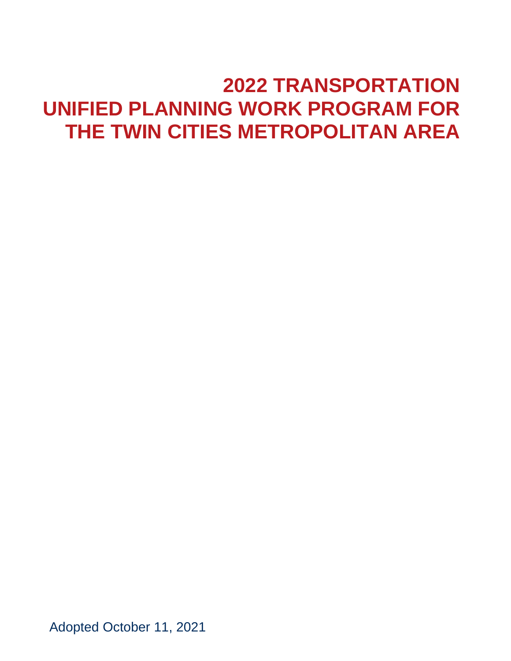# **2022 TRANSPORTATION UNIFIED PLANNING WORK PROGRAM FOR THE TWIN CITIES METROPOLITAN AREA**

Adopted October 11, 2021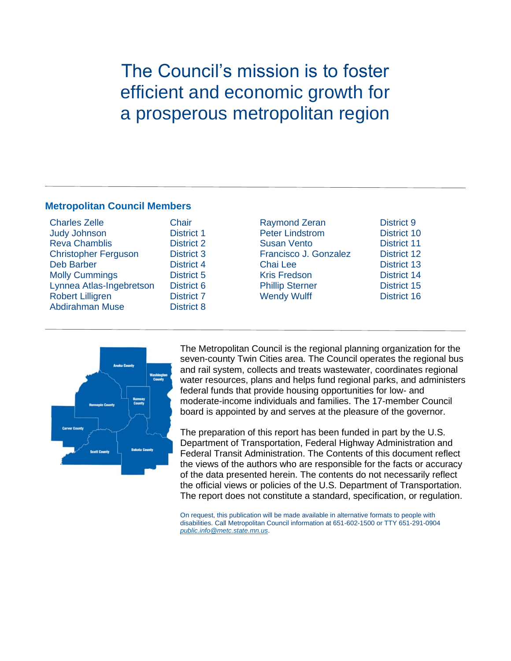# The Council's mission is to foster efficient and economic growth for a prosperous metropolitan region

#### **Metropolitan Council Members**

| <b>Charles Zelle</b>        |
|-----------------------------|
| <b>Judy Johnson</b>         |
| <b>Reva Chamblis</b>        |
| <b>Christopher Ferguson</b> |
| <b>Deb Barber</b>           |
| <b>Molly Cummings</b>       |
| Lynnea Atlas-Ingebretson    |
| <b>Robert Lilligren</b>     |
| <b>Abdirahman Muse</b>      |

Chair District 1 District 2 District 3 District 4 District 5 District 6 District 7 District 8

Raymond Zeran District 9 Peter Lindstrom District 10 Susan Vento District 11 Francisco J. Gonzalez District 12 Chai Lee **District 13** Kris Fredson District 14 **Phillip Sterner District 15** Wendy Wulff **District 16** 



The Metropolitan Council is the regional planning organization for the seven-county Twin Cities area. The Council operates the regional bus and rail system, collects and treats wastewater, coordinates regional water resources, plans and helps fund regional parks, and administers federal funds that provide housing opportunities for low- and moderate-income individuals and families. The 17-member Council board is appointed by and serves at the pleasure of the governor.

The preparation of this report has been funded in part by the U.S. Department of Transportation, Federal Highway Administration and Federal Transit Administration. The Contents of this document reflect the views of the authors who are responsible for the facts or accuracy of the data presented herein. The contents do not necessarily reflect the official views or policies of the U.S. Department of Transportation. The report does not constitute a standard, specification, or regulation.

On request, this publication will be made available in alternative formats to people with disabilities. Call Metropolitan Council information at 651-602-1500 or TTY 651-291-0904 *[public.info@metc.state.mn.us](mailto:public.info@metc.state.mn.us)*.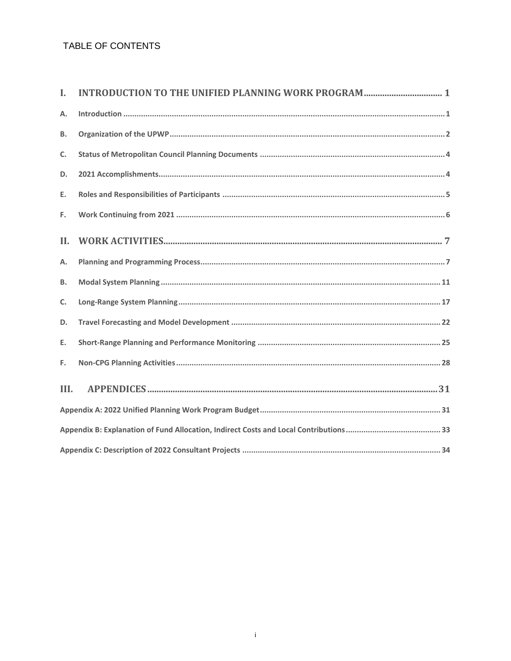### TABLE OF CONTENTS

| L         | <b>INTRODUCTION TO THE UNIFIED PLANNING WORK PROGRAM  1</b> |
|-----------|-------------------------------------------------------------|
| Α.        |                                                             |
| В.        |                                                             |
| C.        |                                                             |
| D.        |                                                             |
| E.        |                                                             |
| F.        |                                                             |
| II.       |                                                             |
| Α.        |                                                             |
| <b>B.</b> |                                                             |
| C.        |                                                             |
| D.        |                                                             |
| Ε.        |                                                             |
| F.        |                                                             |
| III.      |                                                             |
|           |                                                             |
|           |                                                             |
|           |                                                             |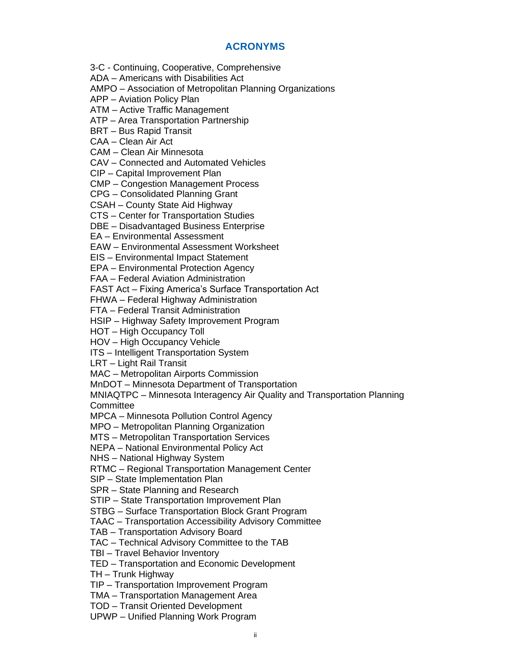#### **ACRONYMS**

3-C - Continuing, Cooperative, Comprehensive

ADA – Americans with Disabilities Act

AMPO – Association of Metropolitan Planning Organizations

APP – Aviation Policy Plan

ATM – Active Traffic Management

ATP – Area Transportation Partnership

BRT – Bus Rapid Transit

CAA – Clean Air Act

CAM – Clean Air Minnesota

CAV – Connected and Automated Vehicles

CIP – Capital Improvement Plan

CMP – Congestion Management Process

CPG – Consolidated Planning Grant

CSAH – County State Aid Highway

CTS – Center for Transportation Studies

DBE – Disadvantaged Business Enterprise

EA – Environmental Assessment

EAW – Environmental Assessment Worksheet

EIS – Environmental Impact Statement

EPA – Environmental Protection Agency

FAA – Federal Aviation Administration

FAST Act – Fixing America's Surface Transportation Act

FHWA – Federal Highway Administration

FTA – Federal Transit Administration

HSIP – Highway Safety Improvement Program

HOT – High Occupancy Toll

HOV – High Occupancy Vehicle

ITS – Intelligent Transportation System

LRT – Light Rail Transit

MAC – Metropolitan Airports Commission

MnDOT – Minnesota Department of Transportation

MNIAQTPC – Minnesota Interagency Air Quality and Transportation Planning **Committee** 

MPCA – Minnesota Pollution Control Agency

MPO – Metropolitan Planning Organization

MTS – Metropolitan Transportation Services

NEPA – National Environmental Policy Act

NHS – National Highway System

RTMC – Regional Transportation Management Center

SIP – State Implementation Plan

SPR – State Planning and Research

STIP – State Transportation Improvement Plan

STBG – Surface Transportation Block Grant Program

TAAC – Transportation Accessibility Advisory Committee

TAB – Transportation Advisory Board

TAC – Technical Advisory Committee to the TAB

TBI – Travel Behavior Inventory

TED – Transportation and Economic Development

TH – Trunk Highway

TIP – Transportation Improvement Program

TMA – Transportation Management Area

TOD – Transit Oriented Development

UPWP – Unified Planning Work Program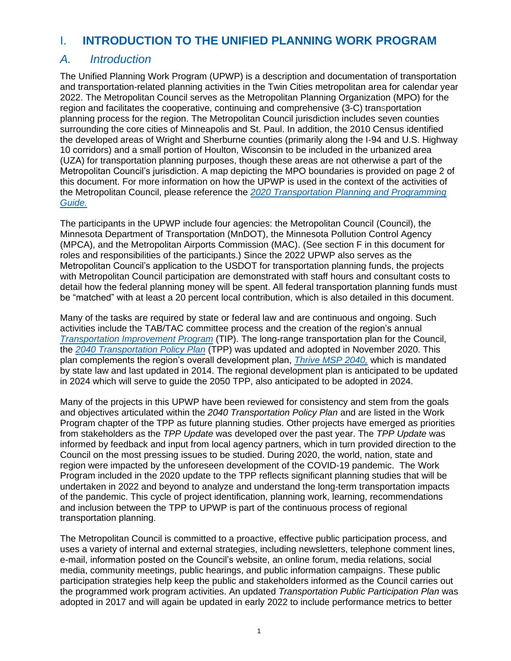# <span id="page-4-0"></span>I. **INTRODUCTION TO THE UNIFIED PLANNING WORK PROGRAM**

# <span id="page-4-1"></span>*A. Introduction*

The Unified Planning Work Program (UPWP) is a description and documentation of transportation and transportation-related planning activities in the Twin Cities metropolitan area for calendar year 2022. The Metropolitan Council serves as the Metropolitan Planning Organization (MPO) for the region and facilitates the cooperative, continuing and comprehensive (3-C) transportation planning process for the region. The Metropolitan Council jurisdiction includes seven counties surrounding the core cities of Minneapolis and St. Paul. In addition, the 2010 Census identified the developed areas of Wright and Sherburne counties (primarily along the I-94 and U.S. Highway 10 corridors) and a small portion of Houlton, Wisconsin to be included in the urbanized area (UZA) for transportation planning purposes, though these areas are not otherwise a part of the Metropolitan Council's jurisdiction. A map depicting the MPO boundaries is provided on page 2 of this document. For more information on how the UPWP is used in the context of the activities of the Metropolitan Council, please reference the *[2020 Transportation Planning and Programming](https://metrocouncil.org/Council-Meetings/Committees/Transportation-Advisory-Board-TAB/2019/October-16,-2019/Info-3-Document-P-P-Guide.aspx)  [Guide.](https://metrocouncil.org/Council-Meetings/Committees/Transportation-Advisory-Board-TAB/2019/October-16,-2019/Info-3-Document-P-P-Guide.aspx)*

The participants in the UPWP include four agencies: the Metropolitan Council (Council), the Minnesota Department of Transportation (MnDOT), the Minnesota Pollution Control Agency (MPCA), and the Metropolitan Airports Commission (MAC). (See section F in this document for roles and responsibilities of the participants.) Since the 2022 UPWP also serves as the Metropolitan Council's application to the USDOT for transportation planning funds, the projects with Metropolitan Council participation are demonstrated with staff hours and consultant costs to detail how the federal planning money will be spent. All federal transportation planning funds must be "matched" with at least a 20 percent local contribution, which is also detailed in this document.

Many of the tasks are required by state or federal law and are continuous and ongoing. Such activities include the TAB/TAC committee process and the creation of the region's annual *[Transportation Improvement Program](https://metrocouncil.org/TIP.aspx)* (TIP). The long-range transportation plan for the Council, the *[2040 Transportation Policy Plan](https://metrocouncil.org/Transportation/Planning-2/Key-Transportation-Planning-Documents/Transportation-Policy-Plan.aspx)* (TPP) was updated and adopted in November 2020. This plan complements the region's overall development plan, *[Thrive MSP 2040,](https://metrocouncil.org/Planning/Projects/Thrive-2040.aspx)* which is mandated by state law and last updated in 2014. The regional development plan is anticipated to be updated in 2024 which will serve to guide the 2050 TPP, also anticipated to be adopted in 2024.

Many of the projects in this UPWP have been reviewed for consistency and stem from the goals and objectives articulated within the *2040 Transportation Policy Plan* and are listed in the Work Program chapter of the TPP as future planning studies. Other projects have emerged as priorities from stakeholders as the *TPP Update* was developed over the past year. The *TPP Update* was informed by feedback and input from local agency partners, which in turn provided direction to the Council on the most pressing issues to be studied. During 2020, the world, nation, state and region were impacted by the unforeseen development of the COVID-19 pandemic. The Work Program included in the 2020 update to the TPP reflects significant planning studies that will be undertaken in 2022 and beyond to analyze and understand the long-term transportation impacts of the pandemic. This cycle of project identification, planning work, learning, recommendations and inclusion between the TPP to UPWP is part of the continuous process of regional transportation planning.

The Metropolitan Council is committed to a proactive, effective public participation process, and uses a variety of internal and external strategies, including newsletters, telephone comment lines, e-mail, information posted on the Council's website, an online forum, media relations, social media, community meetings, public hearings, and public information campaigns. These public participation strategies help keep the public and stakeholders informed as the Council carries out the programmed work program activities. An updated *Transportation Public Participation Plan* was adopted in 2017 and will again be updated in early 2022 to include performance metrics to better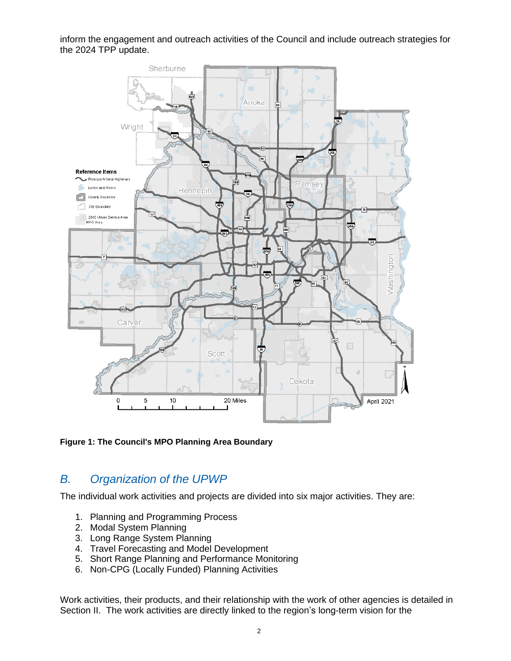inform the engagement and outreach activities of the Council and include outreach strategies for the 2024 TPP update.



**Figure 1: The Council's MPO Planning Area Boundary**

# <span id="page-5-0"></span>*B. Organization of the UPWP*

The individual work activities and projects are divided into six major activities. They are:

- 1. Planning and Programming Process
- 2. Modal System Planning
- 3. Long Range System Planning
- 4. Travel Forecasting and Model Development
- 5. Short Range Planning and Performance Monitoring
- 6. Non-CPG (Locally Funded) Planning Activities

Work activities, their products, and their relationship with the work of other agencies is detailed in Section II. The work activities are directly linked to the region's long-term vision for the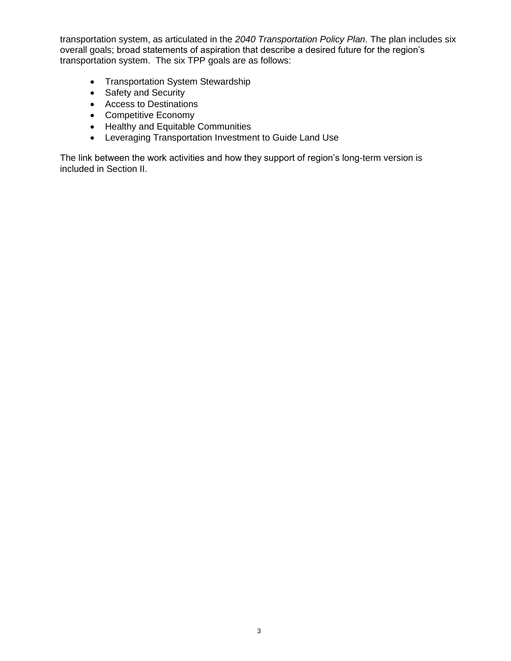transportation system, as articulated in the *2040 Transportation Policy Plan*. The plan includes six overall goals; broad statements of aspiration that describe a desired future for the region's transportation system. The six TPP goals are as follows:

- Transportation System Stewardship
- Safety and Security
- Access to Destinations
- Competitive Economy
- Healthy and Equitable Communities
- Leveraging Transportation Investment to Guide Land Use

The link between the work activities and how they support of region's long-term version is included in Section II.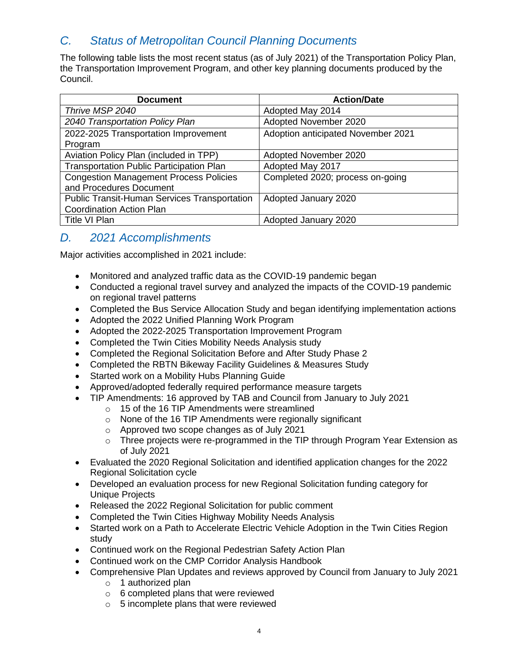# <span id="page-7-0"></span>*C. Status of Metropolitan Council Planning Documents*

The following table lists the most recent status (as of July 2021) of the Transportation Policy Plan, the Transportation Improvement Program, and other key planning documents produced by the Council.

| <b>Document</b>                                     | <b>Action/Date</b>                 |
|-----------------------------------------------------|------------------------------------|
| Thrive MSP 2040                                     | Adopted May 2014                   |
| 2040 Transportation Policy Plan                     | Adopted November 2020              |
| 2022-2025 Transportation Improvement                | Adoption anticipated November 2021 |
| Program                                             |                                    |
| Aviation Policy Plan (included in TPP)              | Adopted November 2020              |
| <b>Transportation Public Participation Plan</b>     | Adopted May 2017                   |
| <b>Congestion Management Process Policies</b>       | Completed 2020; process on-going   |
| and Procedures Document                             |                                    |
| <b>Public Transit-Human Services Transportation</b> | Adopted January 2020               |
| <b>Coordination Action Plan</b>                     |                                    |
| Title VI Plan                                       | Adopted January 2020               |

# <span id="page-7-1"></span>*D. 2021 Accomplishments*

Major activities accomplished in 2021 include:

- Monitored and analyzed traffic data as the COVID-19 pandemic began
- Conducted a regional travel survey and analyzed the impacts of the COVID-19 pandemic on regional travel patterns
- Completed the Bus Service Allocation Study and began identifying implementation actions
- Adopted the 2022 Unified Planning Work Program
- Adopted the 2022-2025 Transportation Improvement Program
- Completed the Twin Cities Mobility Needs Analysis study
- Completed the Regional Solicitation Before and After Study Phase 2
- Completed the RBTN Bikeway Facility Guidelines & Measures Study
- Started work on a Mobility Hubs Planning Guide
- Approved/adopted federally required performance measure targets
- TIP Amendments: 16 approved by TAB and Council from January to July 2021
	- o 15 of the 16 TIP Amendments were streamlined
	- o None of the 16 TIP Amendments were regionally significant
	- o Approved two scope changes as of July 2021
	- o Three projects were re-programmed in the TIP through Program Year Extension as of July 2021
- Evaluated the 2020 Regional Solicitation and identified application changes for the 2022 Regional Solicitation cycle
- Developed an evaluation process for new Regional Solicitation funding category for Unique Projects
- Released the 2022 Regional Solicitation for public comment
- Completed the Twin Cities Highway Mobility Needs Analysis
- Started work on a Path to Accelerate Electric Vehicle Adoption in the Twin Cities Region study
- Continued work on the Regional Pedestrian Safety Action Plan
- Continued work on the CMP Corridor Analysis Handbook
- Comprehensive Plan Updates and reviews approved by Council from January to July 2021
	- o 1 authorized plan
	- o 6 completed plans that were reviewed
	- o 5 incomplete plans that were reviewed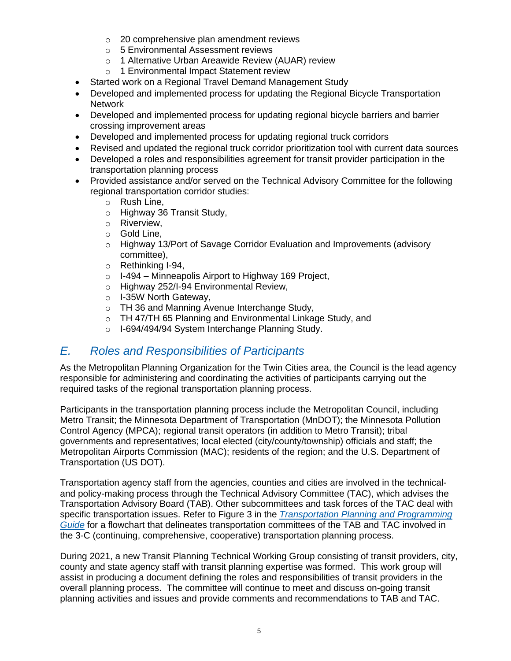- o 20 comprehensive plan amendment reviews
- o 5 Environmental Assessment reviews
- o 1 Alternative Urban Areawide Review (AUAR) review
- o 1 Environmental Impact Statement review
- Started work on a Regional Travel Demand Management Study
- Developed and implemented process for updating the Regional Bicycle Transportation Network
- Developed and implemented process for updating regional bicycle barriers and barrier crossing improvement areas
- Developed and implemented process for updating regional truck corridors
- Revised and updated the regional truck corridor prioritization tool with current data sources
- Developed a roles and responsibilities agreement for transit provider participation in the transportation planning process
- Provided assistance and/or served on the Technical Advisory Committee for the following regional transportation corridor studies:
	- o Rush Line,
	- o Highway 36 Transit Study,
	- o Riverview,
	- o Gold Line,
	- o Highway 13/Port of Savage Corridor Evaluation and Improvements (advisory committee),
	- o Rethinking I-94,
	- $\circ$  I-494 Minneapolis Airport to Highway 169 Project,
	- o Highway 252/I-94 Environmental Review,
	- o I-35W North Gateway,
	- o TH 36 and Manning Avenue Interchange Study,
	- o TH 47/TH 65 Planning and Environmental Linkage Study, and
	- o I-694/494/94 System Interchange Planning Study.

# <span id="page-8-0"></span>*E. Roles and Responsibilities of Participants*

As the Metropolitan Planning Organization for the Twin Cities area, the Council is the lead agency responsible for administering and coordinating the activities of participants carrying out the required tasks of the regional transportation planning process.

Participants in the transportation planning process include the Metropolitan Council, including Metro Transit; the Minnesota Department of Transportation (MnDOT); the Minnesota Pollution Control Agency (MPCA); regional transit operators (in addition to Metro Transit); tribal governments and representatives; local elected (city/county/township) officials and staff; the Metropolitan Airports Commission (MAC); residents of the region; and the U.S. Department of Transportation (US DOT).

Transportation agency staff from the agencies, counties and cities are involved in the technicaland policy-making process through the Technical Advisory Committee (TAC), which advises the Transportation Advisory Board (TAB). Other subcommittees and task forces of the TAC deal with specific transportation issues. Refer to Figure 3 in the *[Transportation Planning and Programming](https://metrocouncil.org/Transportation/Publications-And-Resources/Transportation-Planning/MISCELLANEOUS-DOCUMENTS/Transportation-Planning-and-Programming-Guide-2020.aspx)  [Guide](https://metrocouncil.org/Transportation/Publications-And-Resources/Transportation-Planning/MISCELLANEOUS-DOCUMENTS/Transportation-Planning-and-Programming-Guide-2020.aspx)* for a flowchart that delineates transportation committees of the TAB and TAC involved in the 3-C (continuing, comprehensive, cooperative) transportation planning process.

During 2021, a new Transit Planning Technical Working Group consisting of transit providers, city, county and state agency staff with transit planning expertise was formed. This work group will assist in producing a document defining the roles and responsibilities of transit providers in the overall planning process. The committee will continue to meet and discuss on-going transit planning activities and issues and provide comments and recommendations to TAB and TAC.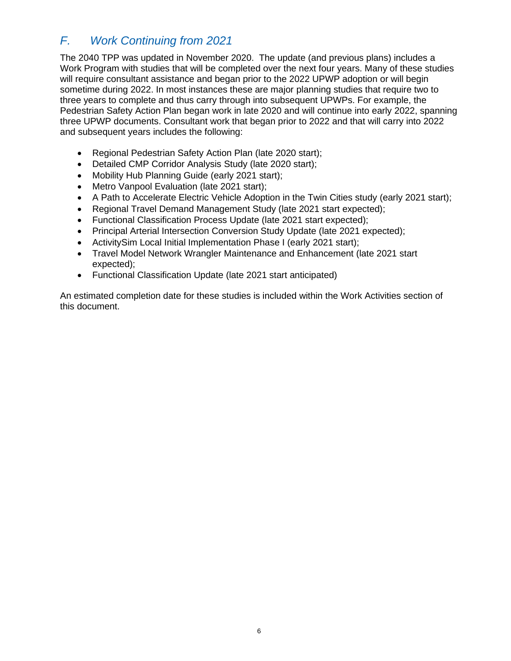# <span id="page-9-0"></span>*F. Work Continuing from 2021*

The 2040 TPP was updated in November 2020. The update (and previous plans) includes a Work Program with studies that will be completed over the next four years. Many of these studies will require consultant assistance and began prior to the 2022 UPWP adoption or will begin sometime during 2022. In most instances these are major planning studies that require two to three years to complete and thus carry through into subsequent UPWPs. For example, the Pedestrian Safety Action Plan began work in late 2020 and will continue into early 2022, spanning three UPWP documents. Consultant work that began prior to 2022 and that will carry into 2022 and subsequent years includes the following:

- Regional Pedestrian Safety Action Plan (late 2020 start);
- Detailed CMP Corridor Analysis Study (late 2020 start);
- Mobility Hub Planning Guide (early 2021 start);
- Metro Vanpool Evaluation (late 2021 start);
- A Path to Accelerate Electric Vehicle Adoption in the Twin Cities study (early 2021 start);
- Regional Travel Demand Management Study (late 2021 start expected);
- Functional Classification Process Update (late 2021 start expected);
- Principal Arterial Intersection Conversion Study Update (late 2021 expected);
- ActivitySim Local Initial Implementation Phase I (early 2021 start);
- Travel Model Network Wrangler Maintenance and Enhancement (late 2021 start expected);
- Functional Classification Update (late 2021 start anticipated)

An estimated completion date for these studies is included within the Work Activities section of this document.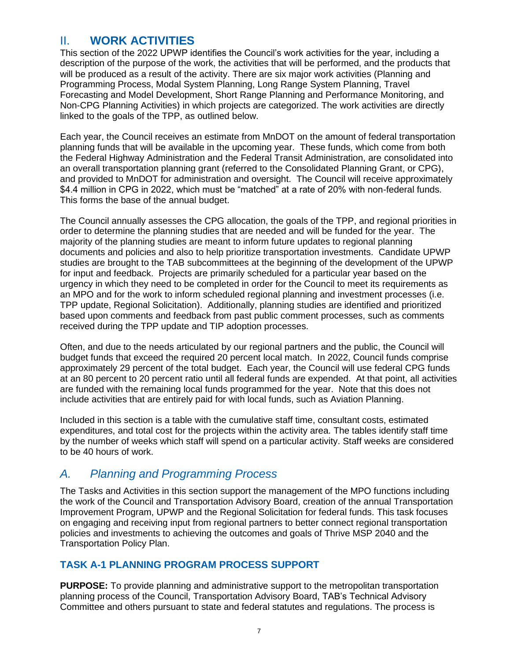# <span id="page-10-0"></span>II. **WORK ACTIVITIES**

This section of the 2022 UPWP identifies the Council's work activities for the year, including a description of the purpose of the work, the activities that will be performed, and the products that will be produced as a result of the activity. There are six major work activities (Planning and Programming Process, Modal System Planning, Long Range System Planning, Travel Forecasting and Model Development, Short Range Planning and Performance Monitoring, and Non-CPG Planning Activities) in which projects are categorized. The work activities are directly linked to the goals of the TPP, as outlined below.

Each year, the Council receives an estimate from MnDOT on the amount of federal transportation planning funds that will be available in the upcoming year. These funds, which come from both the Federal Highway Administration and the Federal Transit Administration, are consolidated into an overall transportation planning grant (referred to the Consolidated Planning Grant, or CPG), and provided to MnDOT for administration and oversight. The Council will receive approximately \$4.4 million in CPG in 2022, which must be "matched" at a rate of 20% with non-federal funds. This forms the base of the annual budget.

The Council annually assesses the CPG allocation, the goals of the TPP, and regional priorities in order to determine the planning studies that are needed and will be funded for the year. The majority of the planning studies are meant to inform future updates to regional planning documents and policies and also to help prioritize transportation investments. Candidate UPWP studies are brought to the TAB subcommittees at the beginning of the development of the UPWP for input and feedback. Projects are primarily scheduled for a particular year based on the urgency in which they need to be completed in order for the Council to meet its requirements as an MPO and for the work to inform scheduled regional planning and investment processes (i.e. TPP update, Regional Solicitation). Additionally, planning studies are identified and prioritized based upon comments and feedback from past public comment processes, such as comments received during the TPP update and TIP adoption processes.

Often, and due to the needs articulated by our regional partners and the public, the Council will budget funds that exceed the required 20 percent local match. In 2022, Council funds comprise approximately 29 percent of the total budget. Each year, the Council will use federal CPG funds at an 80 percent to 20 percent ratio until all federal funds are expended. At that point, all activities are funded with the remaining local funds programmed for the year. Note that this does not include activities that are entirely paid for with local funds, such as Aviation Planning.

Included in this section is a table with the cumulative staff time, consultant costs, estimated expenditures, and total cost for the projects within the activity area. The tables identify staff time by the number of weeks which staff will spend on a particular activity. Staff weeks are considered to be 40 hours of work.

# <span id="page-10-1"></span>*A. Planning and Programming Process*

The Tasks and Activities in this section support the management of the MPO functions including the work of the Council and Transportation Advisory Board, creation of the annual Transportation Improvement Program, UPWP and the Regional Solicitation for federal funds. This task focuses on engaging and receiving input from regional partners to better connect regional transportation policies and investments to achieving the outcomes and goals of Thrive MSP 2040 and the Transportation Policy Plan.

# **TASK A-1 PLANNING PROGRAM PROCESS SUPPORT**

**PURPOSE:** To provide planning and administrative support to the metropolitan transportation planning process of the Council, Transportation Advisory Board, TAB's Technical Advisory Committee and others pursuant to state and federal statutes and regulations. The process is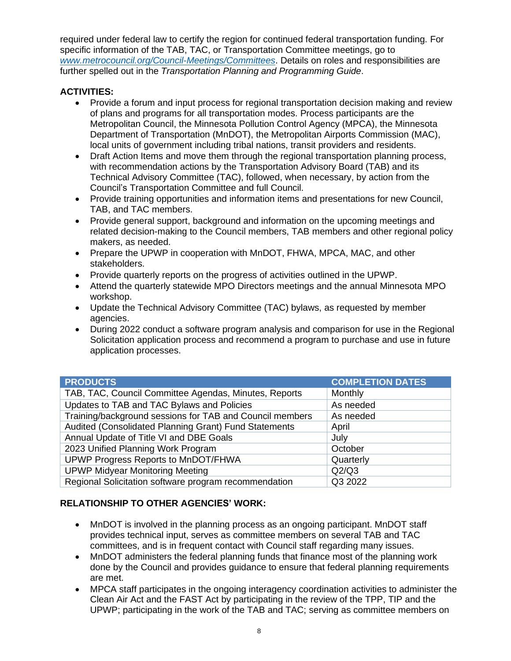required under federal law to certify the region for continued federal transportation funding. For specific information of the TAB, TAC, or Transportation Committee meetings, go to *[www.metrocouncil.org/Council-Meetings/Committees](https://metcmn-my.sharepoint.com/personal/david_burns_metc_state_mn_us/Documents/www.metrocouncil.org/Council-Meetings/Committees)*. Details on roles and responsibilities are further spelled out in the *Transportation Planning and Programming Guide*.

### **ACTIVITIES:**

- Provide a forum and input process for regional transportation decision making and review of plans and programs for all transportation modes. Process participants are the Metropolitan Council, the Minnesota Pollution Control Agency (MPCA), the Minnesota Department of Transportation (MnDOT), the Metropolitan Airports Commission (MAC), local units of government including tribal nations, transit providers and residents.
- Draft Action Items and move them through the regional transportation planning process, with recommendation actions by the Transportation Advisory Board (TAB) and its Technical Advisory Committee (TAC), followed, when necessary, by action from the Council's Transportation Committee and full Council.
- Provide training opportunities and information items and presentations for new Council, TAB, and TAC members.
- Provide general support, background and information on the upcoming meetings and related decision-making to the Council members, TAB members and other regional policy makers, as needed.
- Prepare the UPWP in cooperation with MnDOT, FHWA, MPCA, MAC, and other stakeholders.
- Provide quarterly reports on the progress of activities outlined in the UPWP.
- Attend the quarterly statewide MPO Directors meetings and the annual Minnesota MPO workshop.
- Update the Technical Advisory Committee (TAC) bylaws, as requested by member agencies.
- During 2022 conduct a software program analysis and comparison for use in the Regional Solicitation application process and recommend a program to purchase and use in future application processes.

| <b>PRODUCTS</b>                                          | <b>COMPLETION DATES</b> |
|----------------------------------------------------------|-------------------------|
| TAB, TAC, Council Committee Agendas, Minutes, Reports    | Monthly                 |
| Updates to TAB and TAC Bylaws and Policies               | As needed               |
| Training/background sessions for TAB and Council members | As needed               |
| Audited (Consolidated Planning Grant) Fund Statements    | April                   |
| Annual Update of Title VI and DBE Goals                  | July                    |
| 2023 Unified Planning Work Program                       | October                 |
| UPWP Progress Reports to MnDOT/FHWA                      | Quarterly               |
| <b>UPWP Midyear Monitoring Meeting</b>                   | Q2/Q3                   |
| Regional Solicitation software program recommendation    | Q3 2022                 |

#### **RELATIONSHIP TO OTHER AGENCIES' WORK:**

- MnDOT is involved in the planning process as an ongoing participant. MnDOT staff provides technical input, serves as committee members on several TAB and TAC committees, and is in frequent contact with Council staff regarding many issues.
- MnDOT administers the federal planning funds that finance most of the planning work done by the Council and provides guidance to ensure that federal planning requirements are met.
- MPCA staff participates in the ongoing interagency coordination activities to administer the Clean Air Act and the FAST Act by participating in the review of the TPP, TIP and the UPWP; participating in the work of the TAB and TAC; serving as committee members on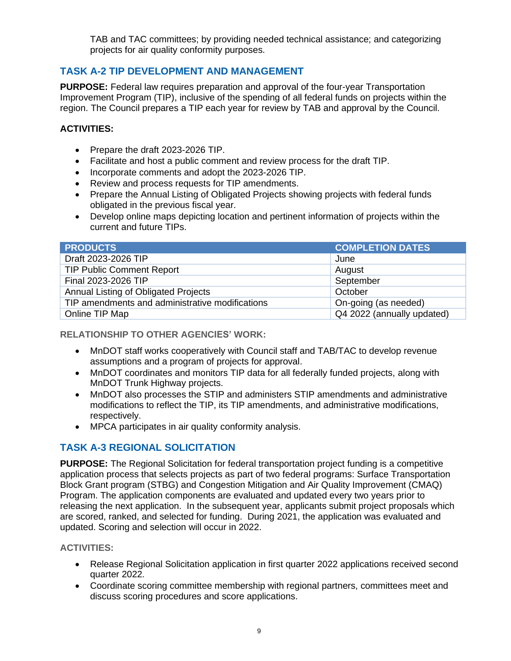TAB and TAC committees; by providing needed technical assistance; and categorizing projects for air quality conformity purposes.

# **TASK A-2 TIP DEVELOPMENT AND MANAGEMENT**

**PURPOSE:** Federal law requires preparation and approval of the four-year Transportation Improvement Program (TIP), inclusive of the spending of all federal funds on projects within the region. The Council prepares a TIP each year for review by TAB and approval by the Council.

### **ACTIVITIES:**

- Prepare the draft 2023-2026 TIP.
- Facilitate and host a public comment and review process for the draft TIP.
- Incorporate comments and adopt the 2023-2026 TIP.
- Review and process requests for TIP amendments.
- Prepare the Annual Listing of Obligated Projects showing projects with federal funds obligated in the previous fiscal year.
- Develop online maps depicting location and pertinent information of projects within the current and future TIPs.

| <b>PRODUCTS</b>                                 | <b>COMPLETION DATES</b>    |
|-------------------------------------------------|----------------------------|
| Draft 2023-2026 TIP                             | June                       |
| <b>TIP Public Comment Report</b>                | August                     |
| Final 2023-2026 TIP                             | September                  |
| <b>Annual Listing of Obligated Projects</b>     | October                    |
| TIP amendments and administrative modifications | On-going (as needed)       |
| Online TIP Map                                  | Q4 2022 (annually updated) |

#### **RELATIONSHIP TO OTHER AGENCIES' WORK:**

- MnDOT staff works cooperatively with Council staff and TAB/TAC to develop revenue assumptions and a program of projects for approval.
- MnDOT coordinates and monitors TIP data for all federally funded projects, along with MnDOT Trunk Highway projects.
- MnDOT also processes the STIP and administers STIP amendments and administrative modifications to reflect the TIP, its TIP amendments, and administrative modifications, respectively.
- MPCA participates in air quality conformity analysis.

# **TASK A-3 REGIONAL SOLICITATION**

**PURPOSE:** The Regional Solicitation for federal transportation project funding is a competitive application process that selects projects as part of two federal programs: Surface Transportation Block Grant program (STBG) and Congestion Mitigation and Air Quality Improvement (CMAQ) Program. The application components are evaluated and updated every two years prior to releasing the next application. In the subsequent year, applicants submit project proposals which are scored, ranked, and selected for funding. During 2021, the application was evaluated and updated. Scoring and selection will occur in 2022.

- Release Regional Solicitation application in first quarter 2022 applications received second quarter 2022.
- Coordinate scoring committee membership with regional partners, committees meet and discuss scoring procedures and score applications.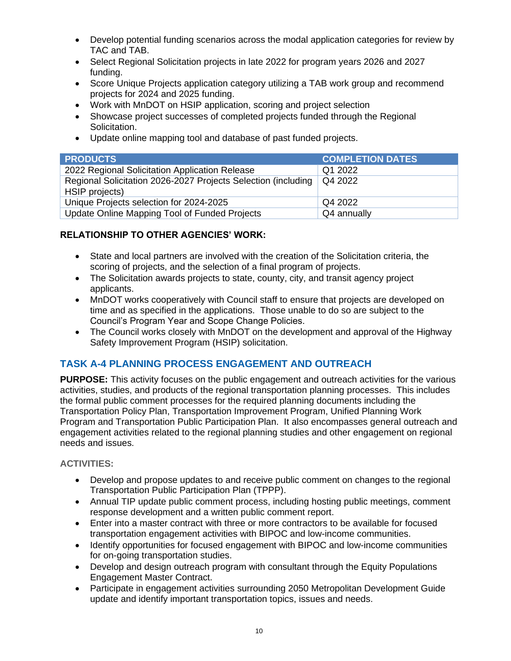- Develop potential funding scenarios across the modal application categories for review by TAC and TAB.
- Select Regional Solicitation projects in late 2022 for program years 2026 and 2027 funding.
- Score Unique Projects application category utilizing a TAB work group and recommend projects for 2024 and 2025 funding.
- Work with MnDOT on HSIP application, scoring and project selection
- Showcase project successes of completed projects funded through the Regional Solicitation.
- Update online mapping tool and database of past funded projects.

| <b>PRODUCTS</b>                                                                 | <b>COMPLETION DATES</b> |
|---------------------------------------------------------------------------------|-------------------------|
| 2022 Regional Solicitation Application Release                                  | Q1 2022                 |
| Regional Solicitation 2026-2027 Projects Selection (including<br>HSIP projects) | Q4 2022                 |
| Unique Projects selection for 2024-2025                                         | Q4 2022                 |
| Update Online Mapping Tool of Funded Projects                                   | Q4 annually             |

- State and local partners are involved with the creation of the Solicitation criteria, the scoring of projects, and the selection of a final program of projects.
- The Solicitation awards projects to state, county, city, and transit agency project applicants.
- MnDOT works cooperatively with Council staff to ensure that projects are developed on time and as specified in the applications. Those unable to do so are subject to the Council's Program Year and Scope Change Policies.
- The Council works closely with MnDOT on the development and approval of the Highway Safety Improvement Program (HSIP) solicitation.

# **TASK A-4 PLANNING PROCESS ENGAGEMENT AND OUTREACH**

**PURPOSE:** This activity focuses on the public engagement and outreach activities for the various activities, studies, and products of the regional transportation planning processes. This includes the formal public comment processes for the required planning documents including the Transportation Policy Plan, Transportation Improvement Program, Unified Planning Work Program and Transportation Public Participation Plan. It also encompasses general outreach and engagement activities related to the regional planning studies and other engagement on regional needs and issues.

- Develop and propose updates to and receive public comment on changes to the regional Transportation Public Participation Plan (TPPP).
- Annual TIP update public comment process, including hosting public meetings, comment response development and a written public comment report.
- Enter into a master contract with three or more contractors to be available for focused transportation engagement activities with BIPOC and low-income communities.
- Identify opportunities for focused engagement with BIPOC and low-income communities for on-going transportation studies.
- Develop and design outreach program with consultant through the Equity Populations Engagement Master Contract.
- Participate in engagement activities surrounding 2050 Metropolitan Development Guide update and identify important transportation topics, issues and needs.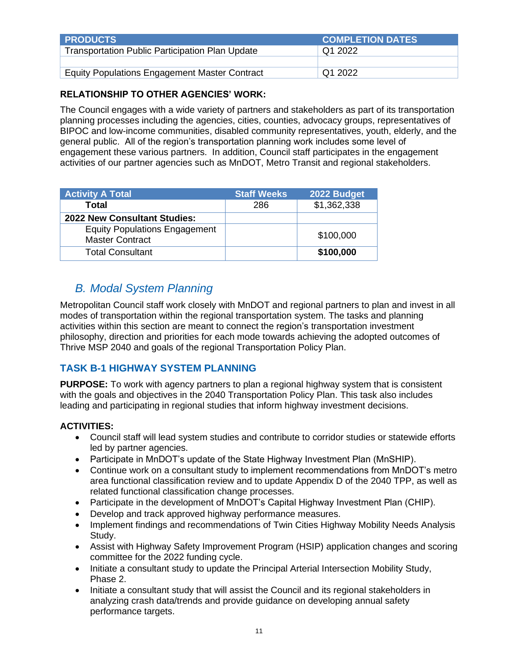| <b>PRODUCTS</b>                                        | <b>COMPLETION DATES</b> |
|--------------------------------------------------------|-------------------------|
| <b>Transportation Public Participation Plan Update</b> | Q1 2022                 |
|                                                        |                         |
| <b>Equity Populations Engagement Master Contract</b>   | Q1 2022                 |

The Council engages with a wide variety of partners and stakeholders as part of its transportation planning processes including the agencies, cities, counties, advocacy groups, representatives of BIPOC and low-income communities, disabled community representatives, youth, elderly, and the general public. All of the region's transportation planning work includes some level of engagement these various partners. In addition, Council staff participates in the engagement activities of our partner agencies such as MnDOT, Metro Transit and regional stakeholders.

| <b>Activity A Total</b>                                        | <b>Staff Weeks</b> | 2022 Budget |
|----------------------------------------------------------------|--------------------|-------------|
| Total                                                          | 286                | \$1,362,338 |
| <b>2022 New Consultant Studies:</b>                            |                    |             |
| <b>Equity Populations Engagement</b><br><b>Master Contract</b> |                    | \$100,000   |
| <b>Total Consultant</b>                                        |                    | \$100,000   |

# <span id="page-14-0"></span>*B. Modal System Planning*

Metropolitan Council staff work closely with MnDOT and regional partners to plan and invest in all modes of transportation within the regional transportation system. The tasks and planning activities within this section are meant to connect the region's transportation investment philosophy, direction and priorities for each mode towards achieving the adopted outcomes of Thrive MSP 2040 and goals of the regional Transportation Policy Plan.

# **TASK B-1 HIGHWAY SYSTEM PLANNING**

**PURPOSE:** To work with agency partners to plan a regional highway system that is consistent with the goals and objectives in the 2040 Transportation Policy Plan. This task also includes leading and participating in regional studies that inform highway investment decisions.

- Council staff will lead system studies and contribute to corridor studies or statewide efforts led by partner agencies.
- Participate in MnDOT's update of the State Highway Investment Plan (MnSHIP).
- Continue work on a consultant study to implement recommendations from MnDOT's metro area functional classification review and to update Appendix D of the 2040 TPP, as well as related functional classification change processes.
- Participate in the development of MnDOT's Capital Highway Investment Plan (CHIP).
- Develop and track approved highway performance measures.
- Implement findings and recommendations of Twin Cities Highway Mobility Needs Analysis Study.
- Assist with Highway Safety Improvement Program (HSIP) application changes and scoring committee for the 2022 funding cycle.
- Initiate a consultant study to update the Principal Arterial Intersection Mobility Study, Phase 2.
- Initiate a consultant study that will assist the Council and its regional stakeholders in analyzing crash data/trends and provide guidance on developing annual safety performance targets.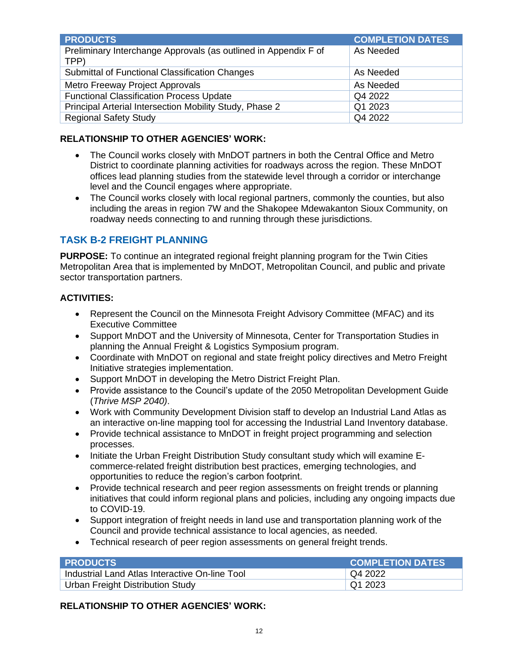| <b>PRODUCTS</b>                                                         | <b>COMPLETION DATES</b> |
|-------------------------------------------------------------------------|-------------------------|
| Preliminary Interchange Approvals (as outlined in Appendix F of<br>TPP) | As Needed               |
| Submittal of Functional Classification Changes                          | As Needed               |
| Metro Freeway Project Approvals                                         | As Needed               |
| <b>Functional Classification Process Update</b>                         | Q4 2022                 |
| Principal Arterial Intersection Mobility Study, Phase 2                 | Q1 2023                 |
| <b>Regional Safety Study</b>                                            | Q4 2022                 |

- The Council works closely with MnDOT partners in both the Central Office and Metro District to coordinate planning activities for roadways across the region. These MnDOT offices lead planning studies from the statewide level through a corridor or interchange level and the Council engages where appropriate.
- The Council works closely with local regional partners, commonly the counties, but also including the areas in region 7W and the Shakopee Mdewakanton Sioux Community, on roadway needs connecting to and running through these jurisdictions.

# **TASK B-2 FREIGHT PLANNING**

**PURPOSE:** To continue an integrated regional freight planning program for the Twin Cities Metropolitan Area that is implemented by MnDOT, Metropolitan Council, and public and private sector transportation partners.

#### **ACTIVITIES:**

- Represent the Council on the Minnesota Freight Advisory Committee (MFAC) and its Executive Committee
- Support MnDOT and the University of Minnesota, Center for Transportation Studies in planning the Annual Freight & Logistics Symposium program.
- Coordinate with MnDOT on regional and state freight policy directives and Metro Freight Initiative strategies implementation.
- Support MnDOT in developing the Metro District Freight Plan.
- Provide assistance to the Council's update of the 2050 Metropolitan Development Guide (*Thrive MSP 2040)*.
- Work with Community Development Division staff to develop an Industrial Land Atlas as an interactive on-line mapping tool for accessing the Industrial Land Inventory database.
- Provide technical assistance to MnDOT in freight project programming and selection processes.
- Initiate the Urban Freight Distribution Study consultant study which will examine Ecommerce-related freight distribution best practices, emerging technologies, and opportunities to reduce the region's carbon footprint.
- Provide technical research and peer region assessments on freight trends or planning initiatives that could inform regional plans and policies, including any ongoing impacts due to COVID-19.
- Support integration of freight needs in land use and transportation planning work of the Council and provide technical assistance to local agencies, as needed.
- Technical research of peer region assessments on general freight trends.

| <b>I PRODUCTS</b>                              | <b>COMPLETION DATES</b> |
|------------------------------------------------|-------------------------|
| Industrial Land Atlas Interactive On-line Tool | Q4 2022                 |
| Urban Freight Distribution Study               | Q12023                  |

#### **RELATIONSHIP TO OTHER AGENCIES' WORK:**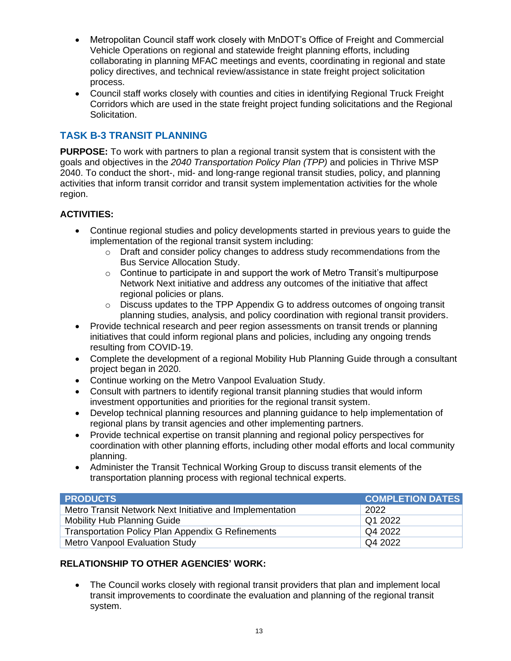- Metropolitan Council staff work closely with MnDOT's Office of Freight and Commercial Vehicle Operations on regional and statewide freight planning efforts, including collaborating in planning MFAC meetings and events, coordinating in regional and state policy directives, and technical review/assistance in state freight project solicitation process.
- Council staff works closely with counties and cities in identifying Regional Truck Freight Corridors which are used in the state freight project funding solicitations and the Regional Solicitation.

# **TASK B-3 TRANSIT PLANNING**

**PURPOSE:** To work with partners to plan a regional transit system that is consistent with the goals and objectives in the *2040 Transportation Policy Plan (TPP)* and policies in Thrive MSP 2040. To conduct the short-, mid- and long-range regional transit studies, policy, and planning activities that inform transit corridor and transit system implementation activities for the whole region.

#### **ACTIVITIES:**

- Continue regional studies and policy developments started in previous years to guide the implementation of the regional transit system including:
	- o Draft and consider policy changes to address study recommendations from the Bus Service Allocation Study.
	- $\circ$  Continue to participate in and support the work of Metro Transit's multipurpose Network Next initiative and address any outcomes of the initiative that affect regional policies or plans.
	- o Discuss updates to the TPP Appendix G to address outcomes of ongoing transit planning studies, analysis, and policy coordination with regional transit providers.
- Provide technical research and peer region assessments on transit trends or planning initiatives that could inform regional plans and policies, including any ongoing trends resulting from COVID-19.
- Complete the development of a regional Mobility Hub Planning Guide through a consultant project began in 2020.
- Continue working on the Metro Vanpool Evaluation Study.
- Consult with partners to identify regional transit planning studies that would inform investment opportunities and priorities for the regional transit system.
- Develop technical planning resources and planning guidance to help implementation of regional plans by transit agencies and other implementing partners.
- Provide technical expertise on transit planning and regional policy perspectives for coordination with other planning efforts, including other modal efforts and local community planning.
- Administer the Transit Technical Working Group to discuss transit elements of the transportation planning process with regional technical experts.

| <b>PRODUCTS</b>                                          | <b>COMPLETION DATES</b> |
|----------------------------------------------------------|-------------------------|
| Metro Transit Network Next Initiative and Implementation | 2022                    |
| <b>Mobility Hub Planning Guide</b>                       | $\sqrt{Q12022}$         |
| <b>Transportation Policy Plan Appendix G Refinements</b> | Q4 2022                 |
| <b>Metro Vanpool Evaluation Study</b>                    | Q4 2022                 |

#### **RELATIONSHIP TO OTHER AGENCIES' WORK:**

• The Council works closely with regional transit providers that plan and implement local transit improvements to coordinate the evaluation and planning of the regional transit system.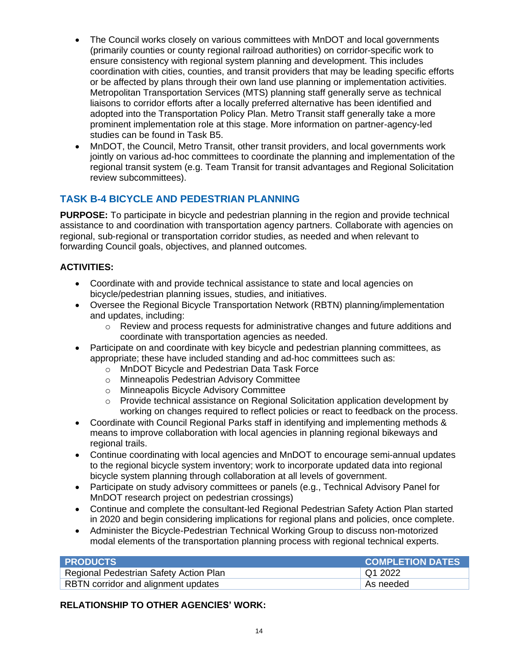- The Council works closely on various committees with MnDOT and local governments (primarily counties or county regional railroad authorities) on corridor-specific work to ensure consistency with regional system planning and development. This includes coordination with cities, counties, and transit providers that may be leading specific efforts or be affected by plans through their own land use planning or implementation activities. Metropolitan Transportation Services (MTS) planning staff generally serve as technical liaisons to corridor efforts after a locally preferred alternative has been identified and adopted into the Transportation Policy Plan. Metro Transit staff generally take a more prominent implementation role at this stage. More information on partner-agency-led studies can be found in Task B5.
- MnDOT, the Council, Metro Transit, other transit providers, and local governments work jointly on various ad-hoc committees to coordinate the planning and implementation of the regional transit system (e.g. Team Transit for transit advantages and Regional Solicitation review subcommittees).

# **TASK B-4 BICYCLE AND PEDESTRIAN PLANNING**

**PURPOSE:** To participate in bicycle and pedestrian planning in the region and provide technical assistance to and coordination with transportation agency partners. Collaborate with agencies on regional, sub-regional or transportation corridor studies, as needed and when relevant to forwarding Council goals, objectives, and planned outcomes.

#### **ACTIVITIES:**

- Coordinate with and provide technical assistance to state and local agencies on bicycle/pedestrian planning issues, studies, and initiatives.
- Oversee the Regional Bicycle Transportation Network (RBTN) planning/implementation and updates, including:
	- o Review and process requests for administrative changes and future additions and coordinate with transportation agencies as needed.
- Participate on and coordinate with key bicycle and pedestrian planning committees, as appropriate; these have included standing and ad-hoc committees such as:
	- o MnDOT Bicycle and Pedestrian Data Task Force
	- o Minneapolis Pedestrian Advisory Committee
	- o Minneapolis Bicycle Advisory Committee
	- o Provide technical assistance on Regional Solicitation application development by working on changes required to reflect policies or react to feedback on the process.
- Coordinate with Council Regional Parks staff in identifying and implementing methods & means to improve collaboration with local agencies in planning regional bikeways and regional trails.
- Continue coordinating with local agencies and MnDOT to encourage semi-annual updates to the regional bicycle system inventory; work to incorporate updated data into regional bicycle system planning through collaboration at all levels of government.
- Participate on study advisory committees or panels (e.g., Technical Advisory Panel for MnDOT research project on pedestrian crossings)
- Continue and complete the consultant-led Regional Pedestrian Safety Action Plan started in 2020 and begin considering implications for regional plans and policies, once complete.
- Administer the Bicycle-Pedestrian Technical Working Group to discuss non-motorized modal elements of the transportation planning process with regional technical experts.

| <b>PRODUCTS</b>                        | <b>COMPLETION DATES</b> |
|----------------------------------------|-------------------------|
| Regional Pedestrian Safety Action Plan | Q1 2022                 |
| RBTN corridor and alignment updates    | ∣ As needed             |

#### **RELATIONSHIP TO OTHER AGENCIES' WORK:**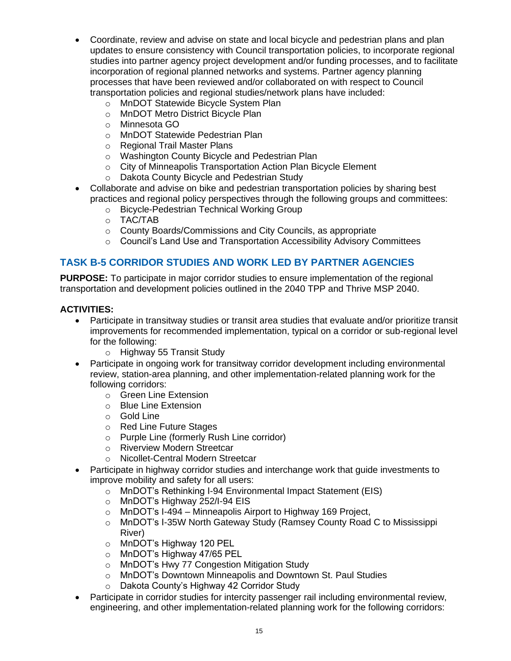- Coordinate, review and advise on state and local bicycle and pedestrian plans and plan updates to ensure consistency with Council transportation policies, to incorporate regional studies into partner agency project development and/or funding processes, and to facilitate incorporation of regional planned networks and systems. Partner agency planning processes that have been reviewed and/or collaborated on with respect to Council transportation policies and regional studies/network plans have included:
	- o MnDOT Statewide Bicycle System Plan
	- o MnDOT Metro District Bicycle Plan
	- o Minnesota GO
	- o MnDOT Statewide Pedestrian Plan
	- o Regional Trail Master Plans
	- o Washington County Bicycle and Pedestrian Plan
	- o City of Minneapolis Transportation Action Plan Bicycle Element
	- o Dakota County Bicycle and Pedestrian Study
- Collaborate and advise on bike and pedestrian transportation policies by sharing best practices and regional policy perspectives through the following groups and committees:
	- o Bicycle-Pedestrian Technical Working Group
	- o TAC/TAB
	- o County Boards/Commissions and City Councils, as appropriate
	- o Council's Land Use and Transportation Accessibility Advisory Committees

#### **TASK B-5 CORRIDOR STUDIES AND WORK LED BY PARTNER AGENCIES**

**PURPOSE:** To participate in major corridor studies to ensure implementation of the regional transportation and development policies outlined in the 2040 TPP and Thrive MSP 2040.

- Participate in transitway studies or transit area studies that evaluate and/or prioritize transit improvements for recommended implementation, typical on a corridor or sub-regional level for the following:
	- o Highway 55 Transit Study
- Participate in ongoing work for transitway corridor development including environmental review, station-area planning, and other implementation-related planning work for the following corridors:
	- o Green Line Extension
	- o Blue Line Extension
	- o Gold Line
	- o Red Line Future Stages
	- o Purple Line (formerly Rush Line corridor)
	- o Riverview Modern Streetcar
	- o Nicollet-Central Modern Streetcar
- Participate in highway corridor studies and interchange work that guide investments to improve mobility and safety for all users:
	- o MnDOT's Rethinking I-94 Environmental Impact Statement (EIS)
	- o MnDOT's Highway 252/I-94 EIS
	- o MnDOT's I-494 Minneapolis Airport to Highway 169 Project,
	- o MnDOT's I-35W North Gateway Study (Ramsey County Road C to Mississippi River)
	- o MnDOT's Highway 120 PEL
	- o MnDOT's Highway 47/65 PEL
	- o MnDOT's Hwy 77 Congestion Mitigation Study
	- o MnDOT's Downtown Minneapolis and Downtown St. Paul Studies
	- o Dakota County's Highway 42 Corridor Study
- Participate in corridor studies for intercity passenger rail including environmental review, engineering, and other implementation-related planning work for the following corridors: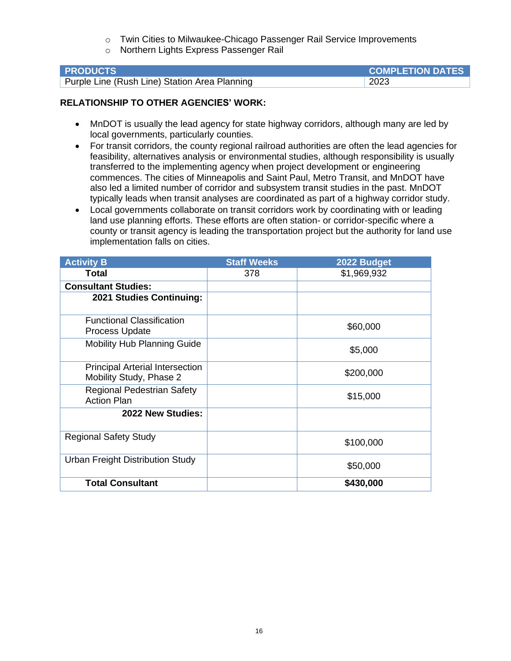- o Twin Cities to Milwaukee-Chicago Passenger Rail Service Improvements
- o Northern Lights Express Passenger Rail

| <b>PRODUCTS</b>                               | <b>COMPLETION DATES</b> |
|-----------------------------------------------|-------------------------|
| Purple Line (Rush Line) Station Area Planning | 2023                    |

- MnDOT is usually the lead agency for state highway corridors, although many are led by local governments, particularly counties.
- For transit corridors, the county regional railroad authorities are often the lead agencies for feasibility, alternatives analysis or environmental studies, although responsibility is usually transferred to the implementing agency when project development or engineering commences. The cities of Minneapolis and Saint Paul, Metro Transit, and MnDOT have also led a limited number of corridor and subsystem transit studies in the past. MnDOT typically leads when transit analyses are coordinated as part of a highway corridor study.
- Local governments collaborate on transit corridors work by coordinating with or leading land use planning efforts. These efforts are often station- or corridor-specific where a county or transit agency is leading the transportation project but the authority for land use implementation falls on cities.

| <b>Activity B</b>                                                 | <b>Staff Weeks</b> | 2022 Budget |
|-------------------------------------------------------------------|--------------------|-------------|
| Total                                                             | 378                | \$1,969,932 |
| <b>Consultant Studies:</b>                                        |                    |             |
| 2021 Studies Continuing:                                          |                    |             |
| <b>Functional Classification</b><br>Process Update                |                    | \$60,000    |
| <b>Mobility Hub Planning Guide</b>                                |                    | \$5,000     |
| <b>Principal Arterial Intersection</b><br>Mobility Study, Phase 2 |                    | \$200,000   |
| <b>Regional Pedestrian Safety</b><br><b>Action Plan</b>           |                    | \$15,000    |
| 2022 New Studies:                                                 |                    |             |
| <b>Regional Safety Study</b>                                      |                    | \$100,000   |
| Urban Freight Distribution Study                                  |                    | \$50,000    |
| <b>Total Consultant</b>                                           |                    | \$430,000   |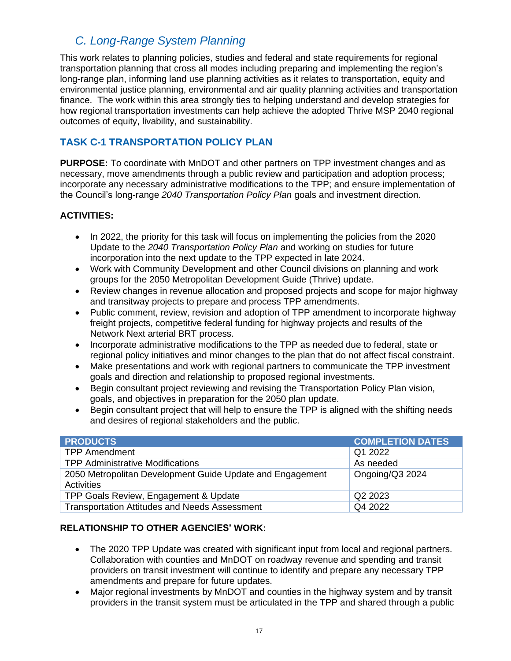# <span id="page-20-0"></span>*C. Long-Range System Planning*

This work relates to planning policies, studies and federal and state requirements for regional transportation planning that cross all modes including preparing and implementing the region's long-range plan, informing land use planning activities as it relates to transportation, equity and environmental justice planning, environmental and air quality planning activities and transportation finance. The work within this area strongly ties to helping understand and develop strategies for how regional transportation investments can help achieve the adopted Thrive MSP 2040 regional outcomes of equity, livability, and sustainability.

# **TASK C-1 TRANSPORTATION POLICY PLAN**

**PURPOSE:** To coordinate with MnDOT and other partners on TPP investment changes and as necessary, move amendments through a public review and participation and adoption process; incorporate any necessary administrative modifications to the TPP; and ensure implementation of the Council's long-range *2040 Transportation Policy Plan* goals and investment direction.

#### **ACTIVITIES:**

- In 2022, the priority for this task will focus on implementing the policies from the 2020 Update to the *2040 Transportation Policy Plan* and working on studies for future incorporation into the next update to the TPP expected in late 2024.
- Work with Community Development and other Council divisions on planning and work groups for the 2050 Metropolitan Development Guide (Thrive) update.
- Review changes in revenue allocation and proposed projects and scope for major highway and transitway projects to prepare and process TPP amendments.
- Public comment, review, revision and adoption of TPP amendment to incorporate highway freight projects, competitive federal funding for highway projects and results of the Network Next arterial BRT process.
- Incorporate administrative modifications to the TPP as needed due to federal, state or regional policy initiatives and minor changes to the plan that do not affect fiscal constraint.
- Make presentations and work with regional partners to communicate the TPP investment goals and direction and relationship to proposed regional investments.
- Begin consultant project reviewing and revising the Transportation Policy Plan vision, goals, and objectives in preparation for the 2050 plan update.
- Begin consultant project that will help to ensure the TPP is aligned with the shifting needs and desires of regional stakeholders and the public.

| <b>PRODUCTS</b>                                                         | <b>COMPLETION DATES</b> |
|-------------------------------------------------------------------------|-------------------------|
| <b>TPP Amendment</b>                                                    | Q1 2022                 |
| <b>TPP Administrative Modifications</b>                                 | As needed               |
| 2050 Metropolitan Development Guide Update and Engagement<br>Activities | Ongoing/Q3 2024         |
| TPP Goals Review, Engagement & Update                                   | Q2 2023                 |
| <b>Transportation Attitudes and Needs Assessment</b>                    | Q4 2022                 |

#### **RELATIONSHIP TO OTHER AGENCIES' WORK:**

- The 2020 TPP Update was created with significant input from local and regional partners. Collaboration with counties and MnDOT on roadway revenue and spending and transit providers on transit investment will continue to identify and prepare any necessary TPP amendments and prepare for future updates.
- Major regional investments by MnDOT and counties in the highway system and by transit providers in the transit system must be articulated in the TPP and shared through a public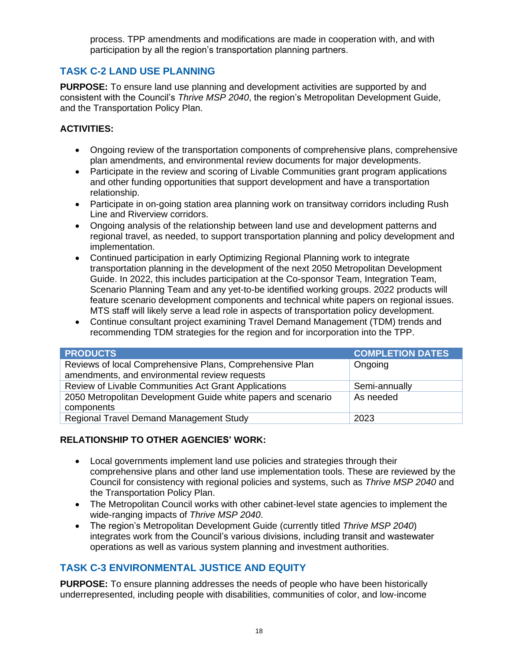process. TPP amendments and modifications are made in cooperation with, and with participation by all the region's transportation planning partners.

# **TASK C-2 LAND USE PLANNING**

**PURPOSE:** To ensure land use planning and development activities are supported by and consistent with the Council's *Thrive MSP 2040*, the region's Metropolitan Development Guide, and the Transportation Policy Plan.

#### **ACTIVITIES:**

- Ongoing review of the transportation components of comprehensive plans, comprehensive plan amendments, and environmental review documents for major developments.
- Participate in the review and scoring of Livable Communities grant program applications and other funding opportunities that support development and have a transportation relationship.
- Participate in on-going station area planning work on transitway corridors including Rush Line and Riverview corridors.
- Ongoing analysis of the relationship between land use and development patterns and regional travel, as needed, to support transportation planning and policy development and implementation.
- Continued participation in early Optimizing Regional Planning work to integrate transportation planning in the development of the next 2050 Metropolitan Development Guide. In 2022, this includes participation at the Co-sponsor Team, Integration Team, Scenario Planning Team and any yet-to-be identified working groups. 2022 products will feature scenario development components and technical white papers on regional issues. MTS staff will likely serve a lead role in aspects of transportation policy development.
- Continue consultant project examining Travel Demand Management (TDM) trends and recommending TDM strategies for the region and for incorporation into the TPP.

| <b>PRODUCTS</b>                                                             | <b>COMPLETION DATES</b> |
|-----------------------------------------------------------------------------|-------------------------|
| Reviews of local Comprehensive Plans, Comprehensive Plan                    | Ongoing                 |
| amendments, and environmental review requests                               |                         |
| Review of Livable Communities Act Grant Applications                        | Semi-annually           |
| 2050 Metropolitan Development Guide white papers and scenario<br>components | As needed               |
| <b>Regional Travel Demand Management Study</b>                              | 2023                    |

#### **RELATIONSHIP TO OTHER AGENCIES' WORK:**

- Local governments implement land use policies and strategies through their comprehensive plans and other land use implementation tools. These are reviewed by the Council for consistency with regional policies and systems, such as *Thrive MSP 2040* and the Transportation Policy Plan.
- The Metropolitan Council works with other cabinet-level state agencies to implement the wide-ranging impacts of *Thrive MSP 2040*.
- The region's Metropolitan Development Guide (currently titled *Thrive MSP 2040*) integrates work from the Council's various divisions, including transit and wastewater operations as well as various system planning and investment authorities.

# **TASK C-3 ENVIRONMENTAL JUSTICE AND EQUITY**

**PURPOSE:** To ensure planning addresses the needs of people who have been historically underrepresented, including people with disabilities, communities of color, and low-income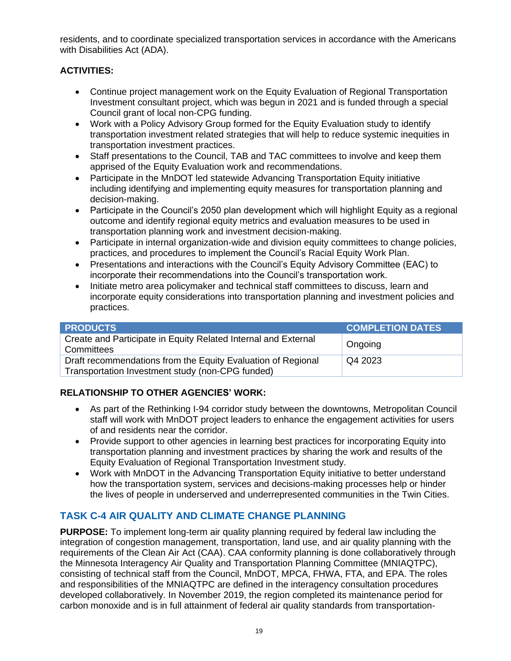residents, and to coordinate specialized transportation services in accordance with the Americans with Disabilities Act (ADA).

### **ACTIVITIES:**

- Continue project management work on the Equity Evaluation of Regional Transportation Investment consultant project, which was begun in 2021 and is funded through a special Council grant of local non-CPG funding.
- Work with a Policy Advisory Group formed for the Equity Evaluation study to identify transportation investment related strategies that will help to reduce systemic inequities in transportation investment practices.
- Staff presentations to the Council, TAB and TAC committees to involve and keep them apprised of the Equity Evaluation work and recommendations.
- Participate in the MnDOT led statewide Advancing Transportation Equity initiative including identifying and implementing equity measures for transportation planning and decision-making.
- Participate in the Council's 2050 plan development which will highlight Equity as a regional outcome and identify regional equity metrics and evaluation measures to be used in transportation planning work and investment decision-making.
- Participate in internal organization-wide and division equity committees to change policies, practices, and procedures to implement the Council's Racial Equity Work Plan.
- Presentations and interactions with the Council's Equity Advisory Committee (EAC) to incorporate their recommendations into the Council's transportation work.
- Initiate metro area policymaker and technical staff committees to discuss, learn and incorporate equity considerations into transportation planning and investment policies and practices.

| <b>PRODUCTS</b>                                                                                                  | <b>COMPLETION DATES</b> |
|------------------------------------------------------------------------------------------------------------------|-------------------------|
| Create and Participate in Equity Related Internal and External<br>Committees                                     | Ongoing                 |
| Draft recommendations from the Equity Evaluation of Regional<br>Transportation Investment study (non-CPG funded) | Q4 2023                 |

# **RELATIONSHIP TO OTHER AGENCIES' WORK:**

- As part of the Rethinking I-94 corridor study between the downtowns, Metropolitan Council staff will work with MnDOT project leaders to enhance the engagement activities for users of and residents near the corridor.
- Provide support to other agencies in learning best practices for incorporating Equity into transportation planning and investment practices by sharing the work and results of the Equity Evaluation of Regional Transportation Investment study.
- Work with MnDOT in the Advancing Transportation Equity initiative to better understand how the transportation system, services and decisions-making processes help or hinder the lives of people in underserved and underrepresented communities in the Twin Cities.

# **TASK C-4 AIR QUALITY AND CLIMATE CHANGE PLANNING**

**PURPOSE:** To implement long-term air quality planning required by federal law including the integration of congestion management, transportation, land use, and air quality planning with the requirements of the Clean Air Act (CAA). CAA conformity planning is done collaboratively through the Minnesota Interagency Air Quality and Transportation Planning Committee (MNIAQTPC), consisting of technical staff from the Council, MnDOT, MPCA, FHWA, FTA, and EPA. The roles and responsibilities of the MNIAQTPC are defined in the interagency consultation procedures developed collaboratively. In November 2019, the region completed its maintenance period for carbon monoxide and is in full attainment of federal air quality standards from transportation-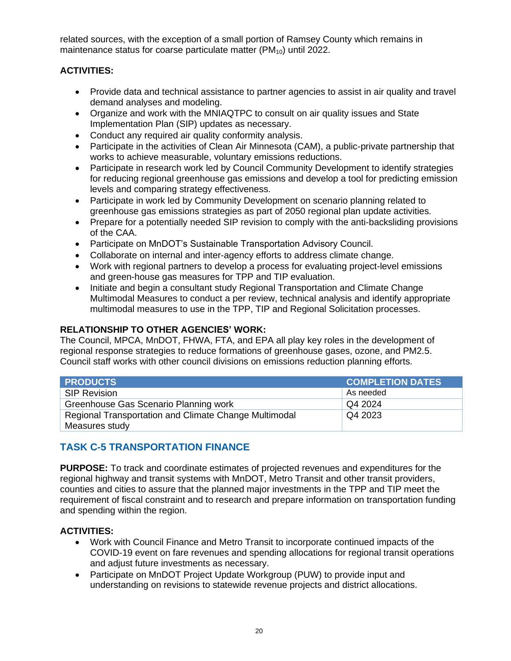related sources, with the exception of a small portion of Ramsey County which remains in maintenance status for coarse particulate matter (PM<sub>10</sub>) until 2022.

### **ACTIVITIES:**

- Provide data and technical assistance to partner agencies to assist in air quality and travel demand analyses and modeling.
- Organize and work with the MNIAQTPC to consult on air quality issues and State Implementation Plan (SIP) updates as necessary.
- Conduct any required air quality conformity analysis.
- Participate in the activities of Clean Air Minnesota (CAM), a public-private partnership that works to achieve measurable, voluntary emissions reductions.
- Participate in research work led by Council Community Development to identify strategies for reducing regional greenhouse gas emissions and develop a tool for predicting emission levels and comparing strategy effectiveness.
- Participate in work led by Community Development on scenario planning related to greenhouse gas emissions strategies as part of 2050 regional plan update activities.
- Prepare for a potentially needed SIP revision to comply with the anti-backsliding provisions of the CAA.
- Participate on MnDOT's Sustainable Transportation Advisory Council.
- Collaborate on internal and inter-agency efforts to address climate change.
- Work with regional partners to develop a process for evaluating project-level emissions and green-house gas measures for TPP and TIP evaluation.
- Initiate and begin a consultant study Regional Transportation and Climate Change Multimodal Measures to conduct a per review, technical analysis and identify appropriate multimodal measures to use in the TPP, TIP and Regional Solicitation processes.

#### **RELATIONSHIP TO OTHER AGENCIES' WORK:**

The Council, MPCA, MnDOT, FHWA, FTA, and EPA all play key roles in the development of regional response strategies to reduce formations of greenhouse gases, ozone, and PM2.5. Council staff works with other council divisions on emissions reduction planning efforts.

| <b>PRODUCTS</b>                                       | <b>COMPLETION DATES</b> |
|-------------------------------------------------------|-------------------------|
| <b>SIP Revision</b>                                   | As needed               |
| Greenhouse Gas Scenario Planning work                 | Q4 2024                 |
| Regional Transportation and Climate Change Multimodal | Q4 2023                 |
| Measures study                                        |                         |

# **TASK C-5 TRANSPORTATION FINANCE**

**PURPOSE:** To track and coordinate estimates of projected revenues and expenditures for the regional highway and transit systems with MnDOT, Metro Transit and other transit providers, counties and cities to assure that the planned major investments in the TPP and TIP meet the requirement of fiscal constraint and to research and prepare information on transportation funding and spending within the region.

- Work with Council Finance and Metro Transit to incorporate continued impacts of the COVID-19 event on fare revenues and spending allocations for regional transit operations and adjust future investments as necessary.
- Participate on MnDOT Project Update Workgroup (PUW) to provide input and understanding on revisions to statewide revenue projects and district allocations.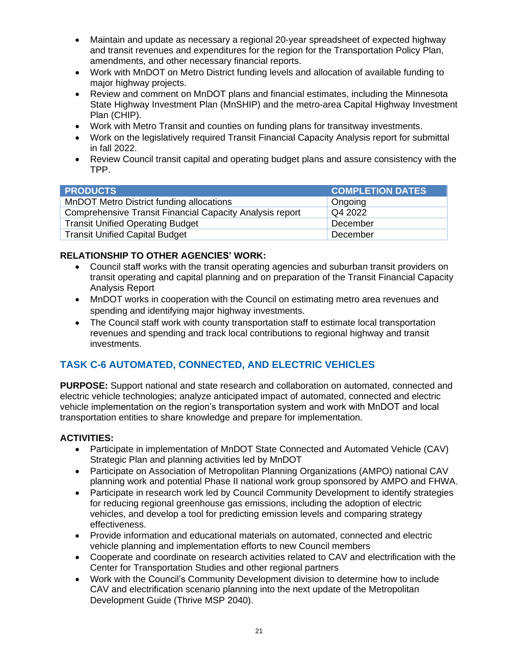- Maintain and update as necessary a regional 20-year spreadsheet of expected highway and transit revenues and expenditures for the region for the Transportation Policy Plan, amendments, and other necessary financial reports.
- Work with MnDOT on Metro District funding levels and allocation of available funding to major highway projects.
- Review and comment on MnDOT plans and financial estimates, including the Minnesota State Highway Investment Plan (MnSHIP) and the metro-area Capital Highway Investment Plan (CHIP).
- Work with Metro Transit and counties on funding plans for transitway investments.
- Work on the legislatively required Transit Financial Capacity Analysis report for submittal in fall 2022.
- Review Council transit capital and operating budget plans and assure consistency with the TPP.

| <b>PRODUCTS</b>                                          | <b>COMPLETION DATES</b> |
|----------------------------------------------------------|-------------------------|
| MnDOT Metro District funding allocations                 | Ongoing                 |
| Comprehensive Transit Financial Capacity Analysis report | Q4 2022                 |
| <b>Transit Unified Operating Budget</b>                  | December                |
| <b>Transit Unified Capital Budget</b>                    | December                |

- Council staff works with the transit operating agencies and suburban transit providers on transit operating and capital planning and on preparation of the Transit Financial Capacity Analysis Report
- MnDOT works in cooperation with the Council on estimating metro area revenues and spending and identifying major highway investments.
- The Council staff work with county transportation staff to estimate local transportation revenues and spending and track local contributions to regional highway and transit investments.

# **TASK C-6 AUTOMATED, CONNECTED, AND ELECTRIC VEHICLES**

**PURPOSE:** Support national and state research and collaboration on automated, connected and electric vehicle technologies; analyze anticipated impact of automated, connected and electric vehicle implementation on the region's transportation system and work with MnDOT and local transportation entities to share knowledge and prepare for implementation.

- Participate in implementation of MnDOT State Connected and Automated Vehicle (CAV) Strategic Plan and planning activities led by MnDOT
- Participate on Association of Metropolitan Planning Organizations (AMPO) national CAV planning work and potential Phase II national work group sponsored by AMPO and FHWA.
- Participate in research work led by Council Community Development to identify strategies for reducing regional greenhouse gas emissions, including the adoption of electric vehicles, and develop a tool for predicting emission levels and comparing strategy effectiveness.
- Provide information and educational materials on automated, connected and electric vehicle planning and implementation efforts to new Council members
- Cooperate and coordinate on research activities related to CAV and electrification with the Center for Transportation Studies and other regional partners
- Work with the Council's Community Development division to determine how to include CAV and electrification scenario planning into the next update of the Metropolitan Development Guide (Thrive MSP 2040).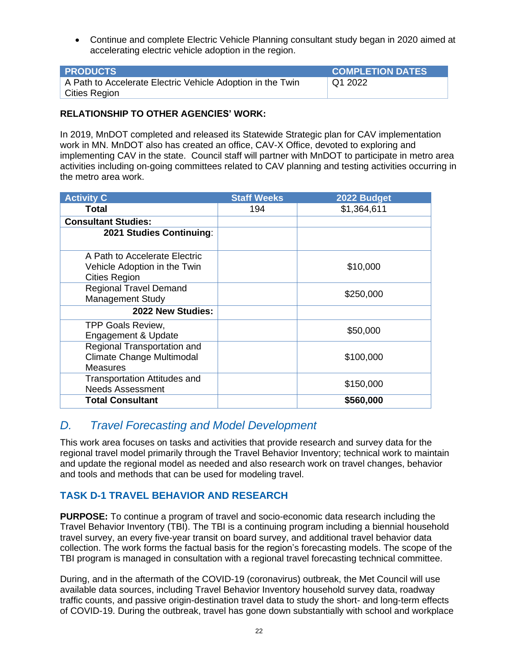• Continue and complete Electric Vehicle Planning consultant study began in 2020 aimed at accelerating electric vehicle adoption in the region.

| <b>PRODUCTS</b>                                            | <b>COMPLETION DATES</b> |
|------------------------------------------------------------|-------------------------|
| A Path to Accelerate Electric Vehicle Adoption in the Twin | Q12022                  |
| Cities Region                                              |                         |

#### **RELATIONSHIP TO OTHER AGENCIES' WORK:**

In 2019, MnDOT completed and released its Statewide Strategic plan for CAV implementation work in MN. MnDOT also has created an office, CAV-X Office, devoted to exploring and implementing CAV in the state. Council staff will partner with MnDOT to participate in metro area activities including on-going committees related to CAV planning and testing activities occurring in the metro area work.

| <b>Activity C</b>                                                                     | <b>Staff Weeks</b> | 2022 Budget |
|---------------------------------------------------------------------------------------|--------------------|-------------|
| Total                                                                                 | 194                | \$1,364,611 |
| <b>Consultant Studies:</b>                                                            |                    |             |
| 2021 Studies Continuing:                                                              |                    |             |
| A Path to Accelerate Electric<br>Vehicle Adoption in the Twin<br><b>Cities Region</b> |                    | \$10,000    |
| <b>Regional Travel Demand</b><br><b>Management Study</b>                              |                    | \$250,000   |
| 2022 New Studies:                                                                     |                    |             |
| <b>TPP Goals Review,</b><br>Engagement & Update                                       |                    | \$50,000    |
| Regional Transportation and<br>Climate Change Multimodal<br><b>Measures</b>           |                    | \$100,000   |
| <b>Transportation Attitudes and</b><br><b>Needs Assessment</b>                        |                    | \$150,000   |
| <b>Total Consultant</b>                                                               |                    | \$560,000   |

# <span id="page-25-0"></span>*D. Travel Forecasting and Model Development*

This work area focuses on tasks and activities that provide research and survey data for the regional travel model primarily through the Travel Behavior Inventory; technical work to maintain and update the regional model as needed and also research work on travel changes, behavior and tools and methods that can be used for modeling travel.

# **TASK D-1 TRAVEL BEHAVIOR AND RESEARCH**

**PURPOSE:** To continue a program of travel and socio-economic data research including the Travel Behavior Inventory (TBI). The TBI is a continuing program including a biennial household travel survey, an every five-year transit on board survey, and additional travel behavior data collection. The work forms the factual basis for the region's forecasting models. The scope of the TBI program is managed in consultation with a regional travel forecasting technical committee.

During, and in the aftermath of the COVID-19 (coronavirus) outbreak, the Met Council will use available data sources, including Travel Behavior Inventory household survey data, roadway traffic counts, and passive origin-destination travel data to study the short- and long-term effects of COVID-19. During the outbreak, travel has gone down substantially with school and workplace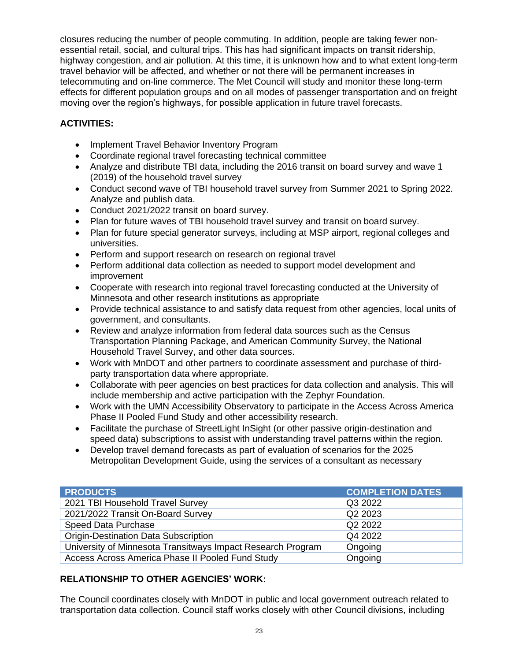closures reducing the number of people commuting. In addition, people are taking fewer nonessential retail, social, and cultural trips. This has had significant impacts on transit ridership, highway congestion, and air pollution. At this time, it is unknown how and to what extent long-term travel behavior will be affected, and whether or not there will be permanent increases in telecommuting and on-line commerce. The Met Council will study and monitor these long-term effects for different population groups and on all modes of passenger transportation and on freight moving over the region's highways, for possible application in future travel forecasts.

### **ACTIVITIES:**

- Implement Travel Behavior Inventory Program
- Coordinate regional travel forecasting technical committee
- Analyze and distribute TBI data, including the 2016 transit on board survey and wave 1 (2019) of the household travel survey
- Conduct second wave of TBI household travel survey from Summer 2021 to Spring 2022. Analyze and publish data.
- Conduct 2021/2022 transit on board survey.
- Plan for future waves of TBI household travel survey and transit on board survey.
- Plan for future special generator surveys, including at MSP airport, regional colleges and universities.
- Perform and support research on research on regional travel
- Perform additional data collection as needed to support model development and improvement
- Cooperate with research into regional travel forecasting conducted at the University of Minnesota and other research institutions as appropriate
- Provide technical assistance to and satisfy data request from other agencies, local units of government, and consultants.
- Review and analyze information from federal data sources such as the Census Transportation Planning Package, and American Community Survey, the National Household Travel Survey, and other data sources.
- Work with MnDOT and other partners to coordinate assessment and purchase of thirdparty transportation data where appropriate.
- Collaborate with peer agencies on best practices for data collection and analysis. This will include membership and active participation with the Zephyr Foundation.
- Work with the UMN Accessibility Observatory to participate in the Access Across America Phase II Pooled Fund Study and other accessibility research.
- Facilitate the purchase of StreetLight InSight (or other passive origin-destination and speed data) subscriptions to assist with understanding travel patterns within the region.
- Develop travel demand forecasts as part of evaluation of scenarios for the 2025 Metropolitan Development Guide, using the services of a consultant as necessary

| <b>PRODUCTS</b>                                             | <b>COMPLETION DATES</b> |
|-------------------------------------------------------------|-------------------------|
| 2021 TBI Household Travel Survey                            | Q3 2022                 |
| 2021/2022 Transit On-Board Survey                           | Q2 2023                 |
| Speed Data Purchase                                         | Q2 2022                 |
| <b>Origin-Destination Data Subscription</b>                 | Q4 2022                 |
| University of Minnesota Transitways Impact Research Program | Ongoing                 |
| Access Across America Phase II Pooled Fund Study            | Ongoing                 |

# **RELATIONSHIP TO OTHER AGENCIES' WORK:**

The Council coordinates closely with MnDOT in public and local government outreach related to transportation data collection. Council staff works closely with other Council divisions, including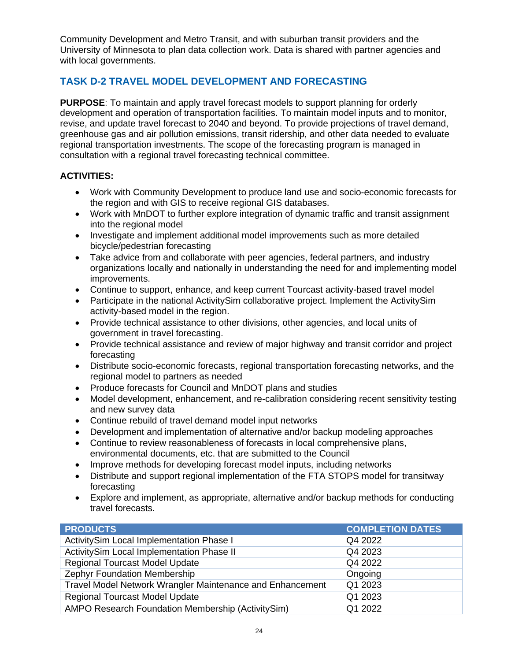Community Development and Metro Transit, and with suburban transit providers and the University of Minnesota to plan data collection work. Data is shared with partner agencies and with local governments.

# **TASK D-2 TRAVEL MODEL DEVELOPMENT AND FORECASTING**

**PURPOSE**: To maintain and apply travel forecast models to support planning for orderly development and operation of transportation facilities. To maintain model inputs and to monitor, revise, and update travel forecast to 2040 and beyond. To provide projections of travel demand, greenhouse gas and air pollution emissions, transit ridership, and other data needed to evaluate regional transportation investments. The scope of the forecasting program is managed in consultation with a regional travel forecasting technical committee.

- Work with Community Development to produce land use and socio-economic forecasts for the region and with GIS to receive regional GIS databases.
- Work with MnDOT to further explore integration of dynamic traffic and transit assignment into the regional model
- Investigate and implement additional model improvements such as more detailed bicycle/pedestrian forecasting
- Take advice from and collaborate with peer agencies, federal partners, and industry organizations locally and nationally in understanding the need for and implementing model improvements.
- Continue to support, enhance, and keep current Tourcast activity-based travel model
- Participate in the national ActivitySim collaborative project. Implement the ActivitySim activity-based model in the region.
- Provide technical assistance to other divisions, other agencies, and local units of government in travel forecasting.
- Provide technical assistance and review of major highway and transit corridor and project forecasting
- Distribute socio-economic forecasts, regional transportation forecasting networks, and the regional model to partners as needed
- Produce forecasts for Council and MnDOT plans and studies
- Model development, enhancement, and re-calibration considering recent sensitivity testing and new survey data
- Continue rebuild of travel demand model input networks
- Development and implementation of alternative and/or backup modeling approaches
- Continue to review reasonableness of forecasts in local comprehensive plans, environmental documents, etc. that are submitted to the Council
- Improve methods for developing forecast model inputs, including networks
- Distribute and support regional implementation of the FTA STOPS model for transitway forecasting
- Explore and implement, as appropriate, alternative and/or backup methods for conducting travel forecasts.

| <b>PRODUCTS</b>                                           | <b>COMPLETION DATES</b> |
|-----------------------------------------------------------|-------------------------|
| ActivitySim Local Implementation Phase I                  | Q4 2022                 |
| ActivitySim Local Implementation Phase II                 | Q4 2023                 |
| Regional Tourcast Model Update                            | Q4 2022                 |
| Zephyr Foundation Membership                              | Ongoing                 |
| Travel Model Network Wrangler Maintenance and Enhancement | Q1 2023                 |
| <b>Regional Tourcast Model Update</b>                     | Q1 2023                 |
| AMPO Research Foundation Membership (ActivitySim)         | Q1 2022                 |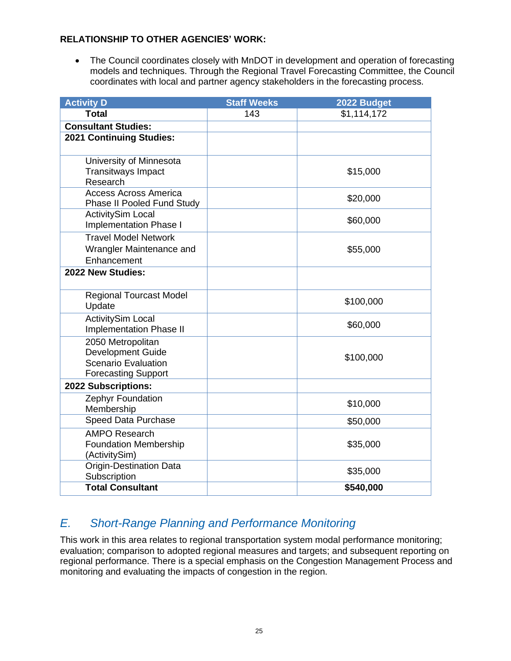• The Council coordinates closely with MnDOT in development and operation of forecasting models and techniques. Through the Regional Travel Forecasting Committee, the Council coordinates with local and partner agency stakeholders in the forecasting process.

| <b>Activity D</b>                             | <b>Staff Weeks</b> | 2022 Budget |
|-----------------------------------------------|--------------------|-------------|
| <b>Total</b>                                  | 143                | \$1,114,172 |
| <b>Consultant Studies:</b>                    |                    |             |
| 2021 Continuing Studies:                      |                    |             |
|                                               |                    |             |
| University of Minnesota                       |                    |             |
| <b>Transitways Impact</b><br>Research         |                    | \$15,000    |
| <b>Access Across America</b>                  |                    |             |
| Phase II Pooled Fund Study                    |                    | \$20,000    |
| <b>ActivitySim Local</b>                      |                    |             |
| <b>Implementation Phase I</b>                 |                    | \$60,000    |
| <b>Travel Model Network</b>                   |                    |             |
| Wrangler Maintenance and                      |                    | \$55,000    |
| Enhancement                                   |                    |             |
| 2022 New Studies:                             |                    |             |
|                                               |                    |             |
| <b>Regional Tourcast Model</b>                |                    | \$100,000   |
| Update                                        |                    |             |
| <b>ActivitySim Local</b>                      |                    | \$60,000    |
| <b>Implementation Phase II</b>                |                    |             |
| 2050 Metropolitan<br><b>Development Guide</b> |                    |             |
| <b>Scenario Evaluation</b>                    |                    | \$100,000   |
| <b>Forecasting Support</b>                    |                    |             |
| 2022 Subscriptions:                           |                    |             |
| Zephyr Foundation                             |                    |             |
| Membership                                    |                    | \$10,000    |
| <b>Speed Data Purchase</b>                    |                    | \$50,000    |
| <b>AMPO Research</b>                          |                    |             |
| <b>Foundation Membership</b>                  |                    | \$35,000    |
| (ActivitySim)                                 |                    |             |
| <b>Origin-Destination Data</b>                |                    | \$35,000    |
| Subscription<br><b>Total Consultant</b>       |                    | \$540,000   |
|                                               |                    |             |

# <span id="page-28-0"></span>*E. Short-Range Planning and Performance Monitoring*

This work in this area relates to regional transportation system modal performance monitoring; evaluation; comparison to adopted regional measures and targets; and subsequent reporting on regional performance. There is a special emphasis on the Congestion Management Process and monitoring and evaluating the impacts of congestion in the region.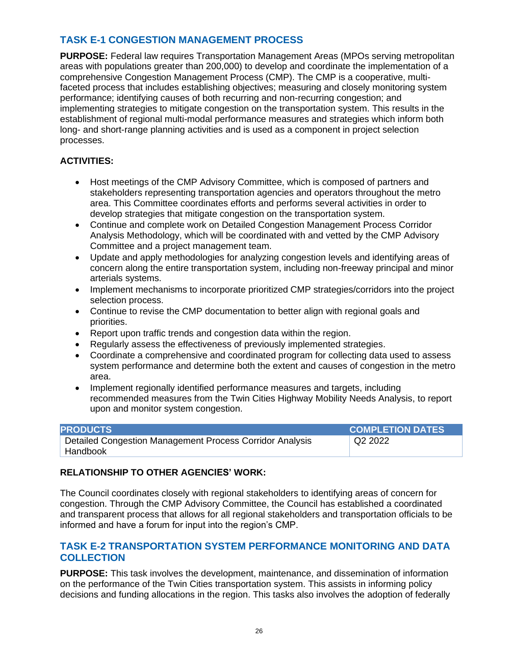# **TASK E-1 CONGESTION MANAGEMENT PROCESS**

**PURPOSE:** Federal law requires Transportation Management Areas (MPOs serving metropolitan areas with populations greater than 200,000) to develop and coordinate the implementation of a comprehensive Congestion Management Process (CMP). The CMP is a cooperative, multifaceted process that includes establishing objectives; measuring and closely monitoring system performance; identifying causes of both recurring and non-recurring congestion; and implementing strategies to mitigate congestion on the transportation system. This results in the establishment of regional multi-modal performance measures and strategies which inform both long- and short-range planning activities and is used as a component in project selection processes.

### **ACTIVITIES:**

- Host meetings of the CMP Advisory Committee, which is composed of partners and stakeholders representing transportation agencies and operators throughout the metro area. This Committee coordinates efforts and performs several activities in order to develop strategies that mitigate congestion on the transportation system.
- Continue and complete work on Detailed Congestion Management Process Corridor Analysis Methodology, which will be coordinated with and vetted by the CMP Advisory Committee and a project management team.
- Update and apply methodologies for analyzing congestion levels and identifying areas of concern along the entire transportation system, including non-freeway principal and minor arterials systems.
- Implement mechanisms to incorporate prioritized CMP strategies/corridors into the project selection process.
- Continue to revise the CMP documentation to better align with regional goals and priorities.
- Report upon traffic trends and congestion data within the region.
- Regularly assess the effectiveness of previously implemented strategies.
- Coordinate a comprehensive and coordinated program for collecting data used to assess system performance and determine both the extent and causes of congestion in the metro area.
- Implement regionally identified performance measures and targets, including recommended measures from the Twin Cities Highway Mobility Needs Analysis, to report upon and monitor system congestion.

| <b>PRODUCTS</b>                                          | <b>COMPLETION DATES</b> |
|----------------------------------------------------------|-------------------------|
| Detailed Congestion Management Process Corridor Analysis | Q2 2022                 |
| ' Handbook                                               |                         |

#### **RELATIONSHIP TO OTHER AGENCIES' WORK:**

The Council coordinates closely with regional stakeholders to identifying areas of concern for congestion. Through the CMP Advisory Committee, the Council has established a coordinated and transparent process that allows for all regional stakeholders and transportation officials to be informed and have a forum for input into the region's CMP.

#### **TASK E-2 TRANSPORTATION SYSTEM PERFORMANCE MONITORING AND DATA COLLECTION**

**PURPOSE:** This task involves the development, maintenance, and dissemination of information on the performance of the Twin Cities transportation system. This assists in informing policy decisions and funding allocations in the region. This tasks also involves the adoption of federally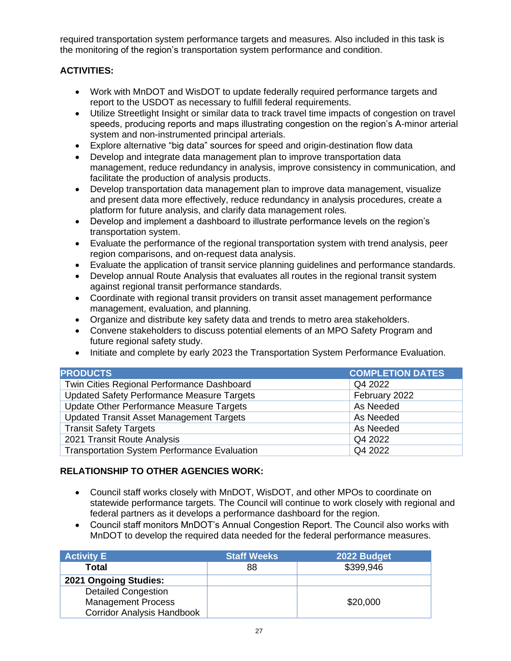required transportation system performance targets and measures. Also included in this task is the monitoring of the region's transportation system performance and condition.

### **ACTIVITIES:**

- Work with MnDOT and WisDOT to update federally required performance targets and report to the USDOT as necessary to fulfill federal requirements.
- Utilize Streetlight Insight or similar data to track travel time impacts of congestion on travel speeds, producing reports and maps illustrating congestion on the region's A-minor arterial system and non-instrumented principal arterials.
- Explore alternative "big data" sources for speed and origin-destination flow data
- Develop and integrate data management plan to improve transportation data management, reduce redundancy in analysis, improve consistency in communication, and facilitate the production of analysis products.
- Develop transportation data management plan to improve data management, visualize and present data more effectively, reduce redundancy in analysis procedures, create a platform for future analysis, and clarify data management roles.
- Develop and implement a dashboard to illustrate performance levels on the region's transportation system.
- Evaluate the performance of the regional transportation system with trend analysis, peer region comparisons, and on-request data analysis.
- Evaluate the application of transit service planning guidelines and performance standards.
- Develop annual Route Analysis that evaluates all routes in the regional transit system against regional transit performance standards.
- Coordinate with regional transit providers on transit asset management performance management, evaluation, and planning.
- Organize and distribute key safety data and trends to metro area stakeholders.
- Convene stakeholders to discuss potential elements of an MPO Safety Program and future regional safety study.
- Initiate and complete by early 2023 the Transportation System Performance Evaluation.

| <b>PRODUCTS</b>                                     | <b>COMPLETION DATES</b> |
|-----------------------------------------------------|-------------------------|
| Twin Cities Regional Performance Dashboard          | Q4 2022                 |
| <b>Updated Safety Performance Measure Targets</b>   | February 2022           |
| Update Other Performance Measure Targets            | As Needed               |
| <b>Updated Transit Asset Management Targets</b>     | As Needed               |
| <b>Transit Safety Targets</b>                       | As Needed               |
| 2021 Transit Route Analysis                         | Q4 2022                 |
| <b>Transportation System Performance Evaluation</b> | Q4 2022                 |

#### **RELATIONSHIP TO OTHER AGENCIES WORK:**

- Council staff works closely with MnDOT, WisDOT, and other MPOs to coordinate on statewide performance targets. The Council will continue to work closely with regional and federal partners as it develops a performance dashboard for the region.
- Council staff monitors MnDOT's Annual Congestion Report. The Council also works with MnDOT to develop the required data needed for the federal performance measures.

| <b>Activity E</b>                 | <b>Staff Weeks</b> | 2022 Budget |
|-----------------------------------|--------------------|-------------|
| <b>Total</b>                      | 88                 | \$399,946   |
| 2021 Ongoing Studies:             |                    |             |
| <b>Detailed Congestion</b>        |                    |             |
| <b>Management Process</b>         |                    | \$20,000    |
| <b>Corridor Analysis Handbook</b> |                    |             |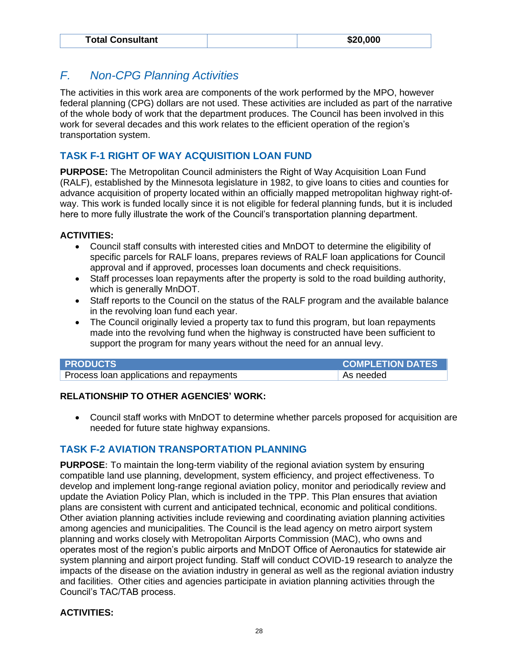| <b>Total Consultant</b> | \$20,000 |
|-------------------------|----------|
|-------------------------|----------|

# <span id="page-31-0"></span>*F. Non-CPG Planning Activities*

The activities in this work area are components of the work performed by the MPO, however federal planning (CPG) dollars are not used. These activities are included as part of the narrative of the whole body of work that the department produces. The Council has been involved in this work for several decades and this work relates to the efficient operation of the region's transportation system.

# **TASK F-1 RIGHT OF WAY ACQUISITION LOAN FUND**

**PURPOSE:** The Metropolitan Council administers the Right of Way Acquisition Loan Fund (RALF), established by the Minnesota legislature in 1982, to give loans to cities and counties for advance acquisition of property located within an officially mapped metropolitan highway right-ofway. This work is funded locally since it is not eligible for federal planning funds, but it is included here to more fully illustrate the work of the Council's transportation planning department.

#### **ACTIVITIES:**

- Council staff consults with interested cities and MnDOT to determine the eligibility of specific parcels for RALF loans, prepares reviews of RALF loan applications for Council approval and if approved, processes loan documents and check requisitions.
- Staff processes loan repayments after the property is sold to the road building authority, which is generally MnDOT.
- Staff reports to the Council on the status of the RALF program and the available balance in the revolving loan fund each year.
- The Council originally levied a property tax to fund this program, but loan repayments made into the revolving fund when the highway is constructed have been sufficient to support the program for many years without the need for an annual levy.

| <b>PRODUCTS</b>                          | <b>COMPLETION DATES</b> |
|------------------------------------------|-------------------------|
| Process loan applications and repayments | As needed               |

#### **RELATIONSHIP TO OTHER AGENCIES' WORK:**

• Council staff works with MnDOT to determine whether parcels proposed for acquisition are needed for future state highway expansions.

# **TASK F-2 AVIATION TRANSPORTATION PLANNING**

**PURPOSE:** To maintain the long-term viability of the regional aviation system by ensuring compatible land use planning, development, system efficiency, and project effectiveness. To develop and implement long-range regional aviation policy, monitor and periodically review and update the Aviation Policy Plan, which is included in the TPP. This Plan ensures that aviation plans are consistent with current and anticipated technical, economic and political conditions. Other aviation planning activities include reviewing and coordinating aviation planning activities among agencies and municipalities. The Council is the lead agency on metro airport system planning and works closely with Metropolitan Airports Commission (MAC), who owns and operates most of the region's public airports and MnDOT Office of Aeronautics for statewide air system planning and airport project funding. Staff will conduct COVID-19 research to analyze the impacts of the disease on the aviation industry in general as well as the regional aviation industry and facilities. Other cities and agencies participate in aviation planning activities through the Council's TAC/TAB process.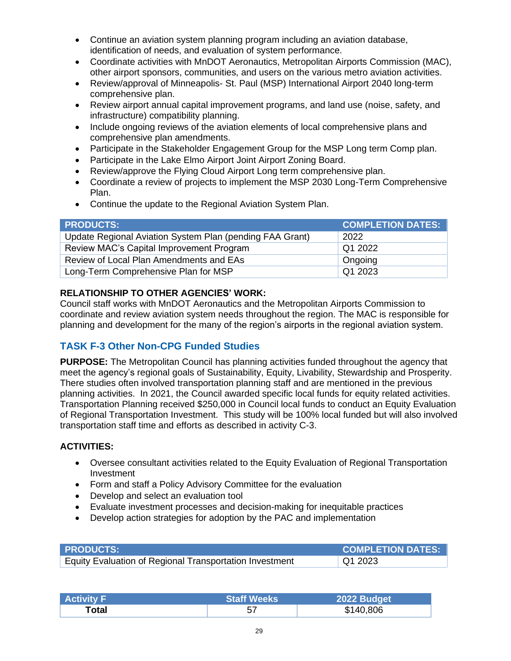- Continue an aviation system planning program including an aviation database, identification of needs, and evaluation of system performance.
- Coordinate activities with MnDOT Aeronautics, Metropolitan Airports Commission (MAC), other airport sponsors, communities, and users on the various metro aviation activities.
- Review/approval of Minneapolis- St. Paul (MSP) International Airport 2040 long-term comprehensive plan.
- Review airport annual capital improvement programs, and land use (noise, safety, and infrastructure) compatibility planning.
- Include ongoing reviews of the aviation elements of local comprehensive plans and comprehensive plan amendments.
- Participate in the Stakeholder Engagement Group for the MSP Long term Comp plan.
- Participate in the Lake Elmo Airport Joint Airport Zoning Board.
- Review/approve the Flying Cloud Airport Long term comprehensive plan.
- Coordinate a review of projects to implement the MSP 2030 Long-Term Comprehensive Plan.
- Continue the update to the Regional Aviation System Plan.

| <b>PRODUCTS:</b>                                         | <b>COMPLETION DATES:</b> |
|----------------------------------------------------------|--------------------------|
| Update Regional Aviation System Plan (pending FAA Grant) | 2022                     |
| Review MAC's Capital Improvement Program                 | Q1 2022                  |
| Review of Local Plan Amendments and EAs                  | Ongoing                  |
| Long-Term Comprehensive Plan for MSP                     | Q1 2023                  |

Council staff works with MnDOT Aeronautics and the Metropolitan Airports Commission to coordinate and review aviation system needs throughout the region. The MAC is responsible for planning and development for the many of the region's airports in the regional aviation system.

# **TASK F-3 Other Non-CPG Funded Studies**

**PURPOSE:** The Metropolitan Council has planning activities funded throughout the agency that meet the agency's regional goals of Sustainability, Equity, Livability, Stewardship and Prosperity. There studies often involved transportation planning staff and are mentioned in the previous planning activities. In 2021, the Council awarded specific local funds for equity related activities. Transportation Planning received \$250,000 in Council local funds to conduct an Equity Evaluation of Regional Transportation Investment. This study will be 100% local funded but will also involved transportation staff time and efforts as described in activity C-3.

- Oversee consultant activities related to the Equity Evaluation of Regional Transportation Investment
- Form and staff a Policy Advisory Committee for the evaluation
- Develop and select an evaluation tool
- Evaluate investment processes and decision-making for inequitable practices
- Develop action strategies for adoption by the PAC and implementation

| <b>PRODUCTS:</b>                                        | <b>COMPLETION DATES:</b> |
|---------------------------------------------------------|--------------------------|
| Equity Evaluation of Regional Transportation Investment | $\sqrt{Q1}$ 2023         |

| ∣ Activity F∣ | <b>Staff Weeks</b> | 2022 Budget |
|---------------|--------------------|-------------|
| Total         | 57                 | \$140,806   |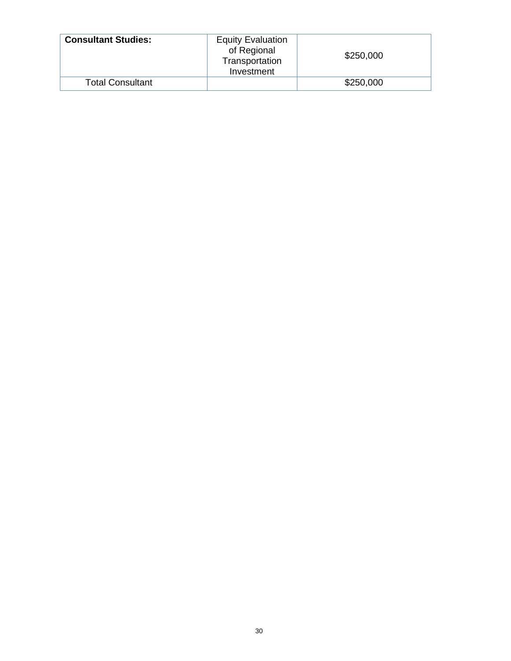| <b>Consultant Studies:</b> | <b>Equity Evaluation</b><br>of Regional<br>Transportation<br>Investment | \$250,000 |
|----------------------------|-------------------------------------------------------------------------|-----------|
| <b>Total Consultant</b>    |                                                                         | \$250,000 |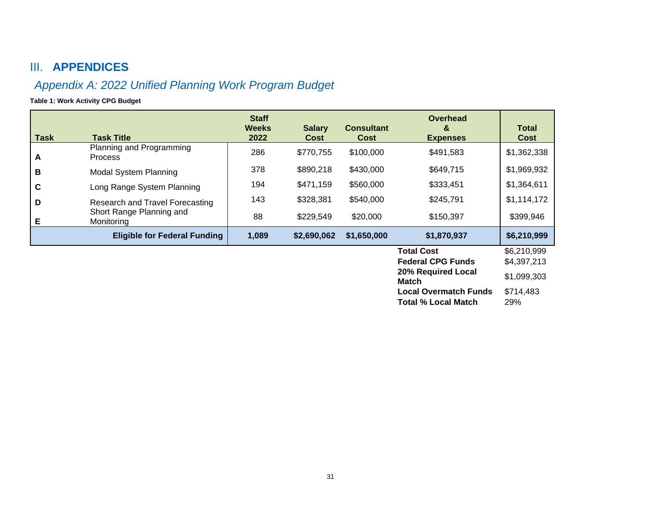# III. **APPENDICES**

# *Appendix A: 2022 Unified Planning Work Program Budget*

**Table 1: Work Activity CPG Budget**

<span id="page-34-1"></span><span id="page-34-0"></span>

| <b>Task</b>  | <b>Task Title</b>                          | <b>Staff</b><br><b>Weeks</b><br>2022 | <b>Salary</b><br>Cost | <b>Consultant</b><br>Cost | Overhead<br>&<br><b>Expenses</b> | <b>Total</b><br>Cost |
|--------------|--------------------------------------------|--------------------------------------|-----------------------|---------------------------|----------------------------------|----------------------|
| $\mathbf{A}$ | Planning and Programming<br><b>Process</b> | 286                                  | \$770,755             | \$100,000                 | \$491,583                        | \$1,362,338          |
| B            | <b>Modal System Planning</b>               | 378                                  | \$890,218             | \$430,000                 | \$649,715                        | \$1,969,932          |
| $\mathbf c$  | Long Range System Planning                 | 194                                  | \$471,159             | \$560,000                 | \$333,451                        | \$1,364,611          |
| D            | Research and Travel Forecasting            | 143                                  | \$328,381             | \$540,000                 | \$245,791                        | \$1,114,172          |
| E            | Short Range Planning and<br>Monitoring     | 88                                   | \$229,549             | \$20,000                  | \$150,397                        | \$399,946            |
|              | <b>Eligible for Federal Funding</b>        | 1,089                                | \$2,690,062           | \$1,650,000               | \$1,870,937                      | \$6,210,999          |
|              |                                            |                                      |                       |                           | <b>Total Cost</b>                | \$6,210,999          |
|              |                                            |                                      |                       |                           | <b>Federal CPG Funds</b>         | \$4,397,213          |
|              |                                            |                                      |                       |                           | 20% Required Local<br>Match      | \$1,099,303          |
|              |                                            |                                      |                       |                           | <b>Local Overmatch Funds</b>     | \$714,483            |
|              |                                            |                                      |                       |                           | <b>Total % Local Match</b>       | 29%                  |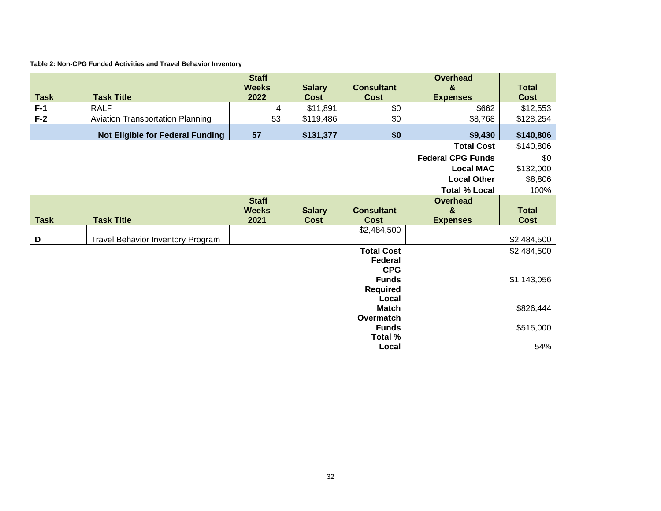#### **Table 2: Non-CPG Funded Activities and Travel Behavior Inventory**

| <b>Task</b> | <b>Task Title</b>                        | <b>Staff</b><br><b>Weeks</b><br>2022 | <b>Salary</b><br>Cost | <b>Consultant</b><br><b>Cost</b> | <b>Overhead</b><br>&<br><b>Expenses</b> | <b>Total</b><br><b>Cost</b> |
|-------------|------------------------------------------|--------------------------------------|-----------------------|----------------------------------|-----------------------------------------|-----------------------------|
| $F-1$       | <b>RALF</b>                              | 4                                    | \$11,891              | \$0                              | \$662                                   | \$12,553                    |
| $F-2$       | <b>Aviation Transportation Planning</b>  | 53                                   | \$119,486             | \$0                              | \$8,768                                 | \$128,254                   |
|             |                                          |                                      |                       |                                  |                                         |                             |
|             | <b>Not Eligible for Federal Funding</b>  | 57                                   | \$131,377             | \$0                              | \$9,430                                 | \$140,806                   |
|             |                                          |                                      |                       |                                  | <b>Total Cost</b>                       | \$140,806                   |
|             |                                          |                                      |                       |                                  | <b>Federal CPG Funds</b>                | \$0                         |
|             |                                          |                                      |                       |                                  | <b>Local MAC</b>                        | \$132,000                   |
|             |                                          |                                      |                       |                                  | <b>Local Other</b>                      | \$8,806                     |
|             |                                          |                                      |                       |                                  | <b>Total % Local</b>                    | 100%                        |
|             |                                          | <b>Staff</b>                         |                       |                                  | <b>Overhead</b>                         |                             |
|             |                                          | <b>Weeks</b>                         | <b>Salary</b>         | <b>Consultant</b>                | &                                       | <b>Total</b>                |
| <b>Task</b> | <b>Task Title</b>                        | 2021                                 | <b>Cost</b>           | <b>Cost</b>                      | <b>Expenses</b>                         | <b>Cost</b>                 |
| D           | <b>Travel Behavior Inventory Program</b> |                                      |                       | \$2,484,500                      |                                         | \$2,484,500                 |
|             |                                          |                                      |                       | <b>Total Cost</b>                |                                         | \$2,484,500                 |
|             |                                          |                                      |                       | <b>Federal</b>                   |                                         |                             |
|             |                                          |                                      |                       | <b>CPG</b>                       |                                         |                             |
|             |                                          |                                      |                       | <b>Funds</b>                     |                                         | \$1,143,056                 |
|             |                                          |                                      |                       | <b>Required</b>                  |                                         |                             |
|             |                                          |                                      |                       | Local                            |                                         |                             |
|             |                                          |                                      |                       | <b>Match</b>                     |                                         | \$826,444                   |
|             |                                          |                                      |                       | Overmatch                        |                                         |                             |
|             |                                          |                                      |                       | <b>Funds</b><br>Total %          |                                         | \$515,000                   |
|             |                                          |                                      |                       | Local                            |                                         | 54%                         |
|             |                                          |                                      |                       |                                  |                                         |                             |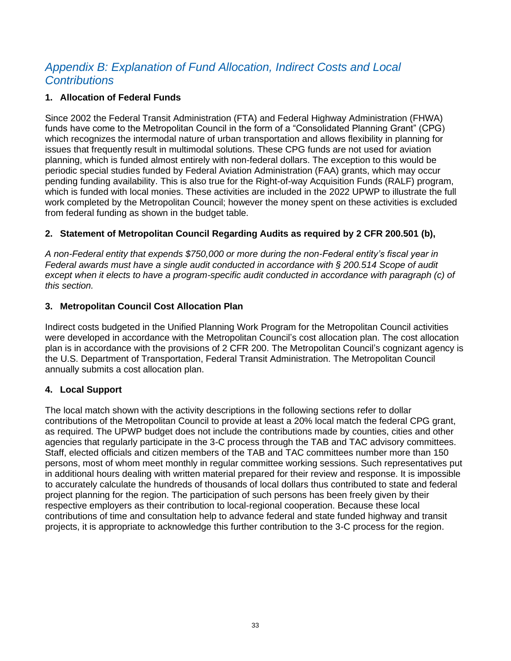# <span id="page-36-0"></span>*Appendix B: Explanation of Fund Allocation, Indirect Costs and Local Contributions*

#### **1. Allocation of Federal Funds**

Since 2002 the Federal Transit Administration (FTA) and Federal Highway Administration (FHWA) funds have come to the Metropolitan Council in the form of a "Consolidated Planning Grant" (CPG) which recognizes the intermodal nature of urban transportation and allows flexibility in planning for issues that frequently result in multimodal solutions. These CPG funds are not used for aviation planning, which is funded almost entirely with non-federal dollars. The exception to this would be periodic special studies funded by Federal Aviation Administration (FAA) grants, which may occur pending funding availability. This is also true for the Right-of-way Acquisition Funds (RALF) program, which is funded with local monies. These activities are included in the 2022 UPWP to illustrate the full work completed by the Metropolitan Council; however the money spent on these activities is excluded from federal funding as shown in the budget table.

#### **2. Statement of Metropolitan Council Regarding Audits as required by 2 CFR 200.501 (b),**

*A non-Federal entity that expends \$750,000 or more during the non-Federal entity's fiscal year in Federal awards must have a single audit conducted in accordance with § 200.514 Scope of audit*  except when it elects to have a program-specific audit conducted in accordance with paragraph (c) of *this section.* 

#### **3. Metropolitan Council Cost Allocation Plan**

Indirect costs budgeted in the Unified Planning Work Program for the Metropolitan Council activities were developed in accordance with the Metropolitan Council's cost allocation plan. The cost allocation plan is in accordance with the provisions of 2 CFR 200. The Metropolitan Council's cognizant agency is the U.S. Department of Transportation, Federal Transit Administration. The Metropolitan Council annually submits a cost allocation plan.

#### **4. Local Support**

The local match shown with the activity descriptions in the following sections refer to dollar contributions of the Metropolitan Council to provide at least a 20% local match the federal CPG grant, as required. The UPWP budget does not include the contributions made by counties, cities and other agencies that regularly participate in the 3-C process through the TAB and TAC advisory committees. Staff, elected officials and citizen members of the TAB and TAC committees number more than 150 persons, most of whom meet monthly in regular committee working sessions. Such representatives put in additional hours dealing with written material prepared for their review and response. It is impossible to accurately calculate the hundreds of thousands of local dollars thus contributed to state and federal project planning for the region. The participation of such persons has been freely given by their respective employers as their contribution to local-regional cooperation. Because these local contributions of time and consultation help to advance federal and state funded highway and transit projects, it is appropriate to acknowledge this further contribution to the 3-C process for the region.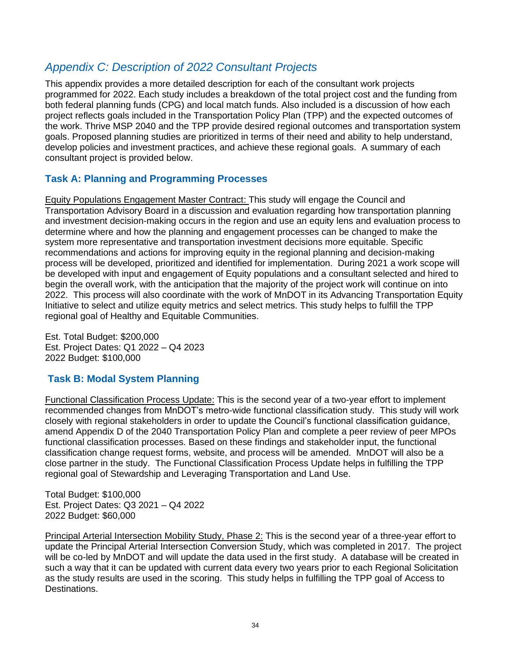# <span id="page-37-0"></span>*Appendix C: Description of 2022 Consultant Projects*

This appendix provides a more detailed description for each of the consultant work projects programmed for 2022. Each study includes a breakdown of the total project cost and the funding from both federal planning funds (CPG) and local match funds. Also included is a discussion of how each project reflects goals included in the Transportation Policy Plan (TPP) and the expected outcomes of the work. Thrive MSP 2040 and the TPP provide desired regional outcomes and transportation system goals. Proposed planning studies are prioritized in terms of their need and ability to help understand, develop policies and investment practices, and achieve these regional goals. A summary of each consultant project is provided below.

### **Task A: Planning and Programming Processes**

Equity Populations Engagement Master Contract: This study will engage the Council and Transportation Advisory Board in a discussion and evaluation regarding how transportation planning and investment decision-making occurs in the region and use an equity lens and evaluation process to determine where and how the planning and engagement processes can be changed to make the system more representative and transportation investment decisions more equitable. Specific recommendations and actions for improving equity in the regional planning and decision-making process will be developed, prioritized and identified for implementation. During 2021 a work scope will be developed with input and engagement of Equity populations and a consultant selected and hired to begin the overall work, with the anticipation that the majority of the project work will continue on into 2022. This process will also coordinate with the work of MnDOT in its Advancing Transportation Equity Initiative to select and utilize equity metrics and select metrics. This study helps to fulfill the TPP regional goal of Healthy and Equitable Communities.

Est. Total Budget: \$200,000 Est. Project Dates: Q1 2022 – Q4 2023 2022 Budget: \$100,000

# **Task B: Modal System Planning**

Functional Classification Process Update: This is the second year of a two-year effort to implement recommended changes from MnDOT's metro-wide functional classification study. This study will work closely with regional stakeholders in order to update the Council's functional classification guidance, amend Appendix D of the 2040 Transportation Policy Plan and complete a peer review of peer MPOs functional classification processes. Based on these findings and stakeholder input, the functional classification change request forms, website, and process will be amended. MnDOT will also be a close partner in the study. The Functional Classification Process Update helps in fulfilling the TPP regional goal of Stewardship and Leveraging Transportation and Land Use.

Total Budget: \$100,000 Est. Project Dates: Q3 2021 – Q4 2022 2022 Budget: \$60,000

Principal Arterial Intersection Mobility Study, Phase 2: This is the second year of a three-year effort to update the Principal Arterial Intersection Conversion Study, which was completed in 2017. The project will be co-led by MnDOT and will update the data used in the first study. A database will be created in such a way that it can be updated with current data every two years prior to each Regional Solicitation as the study results are used in the scoring. This study helps in fulfilling the TPP goal of Access to Destinations.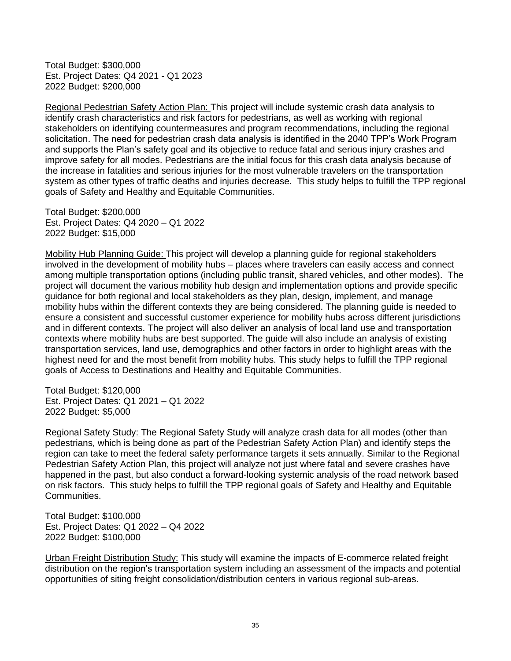Total Budget: \$300,000 Est. Project Dates: Q4 2021 - Q1 2023 2022 Budget: \$200,000

Regional Pedestrian Safety Action Plan: This project will include systemic crash data analysis to identify crash characteristics and risk factors for pedestrians, as well as working with regional stakeholders on identifying countermeasures and program recommendations, including the regional solicitation. The need for pedestrian crash data analysis is identified in the 2040 TPP's Work Program and supports the Plan's safety goal and its objective to reduce fatal and serious injury crashes and improve safety for all modes. Pedestrians are the initial focus for this crash data analysis because of the increase in fatalities and serious injuries for the most vulnerable travelers on the transportation system as other types of traffic deaths and injuries decrease. This study helps to fulfill the TPP regional goals of Safety and Healthy and Equitable Communities.

Total Budget: \$200,000 Est. Project Dates: Q4 2020 – Q1 2022 2022 Budget: \$15,000

Mobility Hub Planning Guide: This project will develop a planning guide for regional stakeholders involved in the development of mobility hubs – places where travelers can easily access and connect among multiple transportation options (including public transit, shared vehicles, and other modes). The project will document the various mobility hub design and implementation options and provide specific guidance for both regional and local stakeholders as they plan, design, implement, and manage mobility hubs within the different contexts they are being considered. The planning guide is needed to ensure a consistent and successful customer experience for mobility hubs across different jurisdictions and in different contexts. The project will also deliver an analysis of local land use and transportation contexts where mobility hubs are best supported. The guide will also include an analysis of existing transportation services, land use, demographics and other factors in order to highlight areas with the highest need for and the most benefit from mobility hubs. This study helps to fulfill the TPP regional goals of Access to Destinations and Healthy and Equitable Communities.

Total Budget: \$120,000 Est. Project Dates: Q1 2021 – Q1 2022 2022 Budget: \$5,000

Regional Safety Study: The Regional Safety Study will analyze crash data for all modes (other than pedestrians, which is being done as part of the Pedestrian Safety Action Plan) and identify steps the region can take to meet the federal safety performance targets it sets annually. Similar to the Regional Pedestrian Safety Action Plan, this project will analyze not just where fatal and severe crashes have happened in the past, but also conduct a forward-looking systemic analysis of the road network based on risk factors. This study helps to fulfill the TPP regional goals of Safety and Healthy and Equitable Communities.

Total Budget: \$100,000 Est. Project Dates: Q1 2022 – Q4 2022 2022 Budget: \$100,000

Urban Freight Distribution Study: This study will examine the impacts of E-commerce related freight distribution on the region's transportation system including an assessment of the impacts and potential opportunities of siting freight consolidation/distribution centers in various regional sub-areas.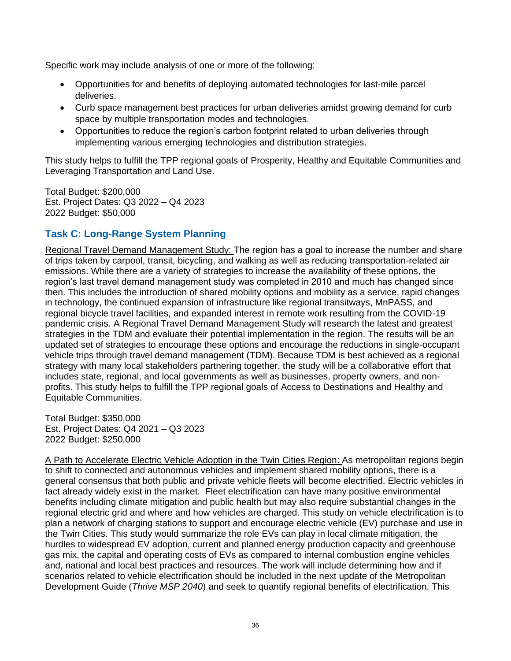Specific work may include analysis of one or more of the following:

- Opportunities for and benefits of deploying automated technologies for last-mile parcel deliveries.
- Curb space management best practices for urban deliveries amidst growing demand for curb space by multiple transportation modes and technologies.
- Opportunities to reduce the region's carbon footprint related to urban deliveries through implementing various emerging technologies and distribution strategies.

This study helps to fulfill the TPP regional goals of Prosperity, Healthy and Equitable Communities and Leveraging Transportation and Land Use.

Total Budget: \$200,000 Est. Project Dates: Q3 2022 – Q4 2023 2022 Budget: \$50,000

# **Task C: Long-Range System Planning**

Regional Travel Demand Management Study: The region has a goal to increase the number and share of trips taken by carpool, transit, bicycling, and walking as well as reducing transportation-related air emissions. While there are a variety of strategies to increase the availability of these options, the region's last travel demand management study was completed in 2010 and much has changed since then. This includes the introduction of shared mobility options and mobility as a service, rapid changes in technology, the continued expansion of infrastructure like regional transitways, MnPASS, and regional bicycle travel facilities, and expanded interest in remote work resulting from the COVID-19 pandemic crisis. A Regional Travel Demand Management Study will research the latest and greatest strategies in the TDM and evaluate their potential implementation in the region. The results will be an updated set of strategies to encourage these options and encourage the reductions in single-occupant vehicle trips through travel demand management (TDM). Because TDM is best achieved as a regional strategy with many local stakeholders partnering together, the study will be a collaborative effort that includes state, regional, and local governments as well as businesses, property owners, and nonprofits. This study helps to fulfill the TPP regional goals of Access to Destinations and Healthy and Equitable Communities.

Total Budget: \$350,000 Est. Project Dates: Q4 2021 – Q3 2023 2022 Budget: \$250,000

A Path to Accelerate Electric Vehicle Adoption in the Twin Cities Region: As metropolitan regions begin to shift to connected and autonomous vehicles and implement shared mobility options, there is a general consensus that both public and private vehicle fleets will become electrified. Electric vehicles in fact already widely exist in the market. Fleet electrification can have many positive environmental benefits including climate mitigation and public health but may also require substantial changes in the regional electric grid and where and how vehicles are charged. This study on vehicle electrification is to plan a network of charging stations to support and encourage electric vehicle (EV) purchase and use in the Twin Cities. This study would summarize the role EVs can play in local climate mitigation, the hurdles to widespread EV adoption, current and planned energy production capacity and greenhouse gas mix, the capital and operating costs of EVs as compared to internal combustion engine vehicles and, national and local best practices and resources. The work will include determining how and if scenarios related to vehicle electrification should be included in the next update of the Metropolitan Development Guide (*Thrive MSP 2040*) and seek to quantify regional benefits of electrification. This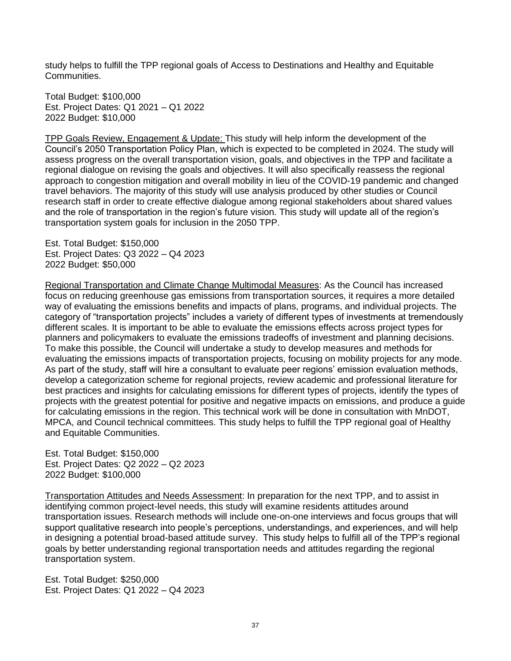study helps to fulfill the TPP regional goals of Access to Destinations and Healthy and Equitable Communities.

Total Budget: \$100,000 Est. Project Dates: Q1 2021 – Q1 2022 2022 Budget: \$10,000

TPP Goals Review, Engagement & Update: This study will help inform the development of the Council's 2050 Transportation Policy Plan, which is expected to be completed in 2024. The study will assess progress on the overall transportation vision, goals, and objectives in the TPP and facilitate a regional dialogue on revising the goals and objectives. It will also specifically reassess the regional approach to congestion mitigation and overall mobility in lieu of the COVID-19 pandemic and changed travel behaviors. The majority of this study will use analysis produced by other studies or Council research staff in order to create effective dialogue among regional stakeholders about shared values and the role of transportation in the region's future vision. This study will update all of the region's transportation system goals for inclusion in the 2050 TPP.

Est. Total Budget: \$150,000 Est. Project Dates: Q3 2022 – Q4 2023 2022 Budget: \$50,000

Regional Transportation and Climate Change Multimodal Measures: As the Council has increased focus on reducing greenhouse gas emissions from transportation sources, it requires a more detailed way of evaluating the emissions benefits and impacts of plans, programs, and individual projects. The category of "transportation projects" includes a variety of different types of investments at tremendously different scales. It is important to be able to evaluate the emissions effects across project types for planners and policymakers to evaluate the emissions tradeoffs of investment and planning decisions. To make this possible, the Council will undertake a study to develop measures and methods for evaluating the emissions impacts of transportation projects, focusing on mobility projects for any mode. As part of the study, staff will hire a consultant to evaluate peer regions' emission evaluation methods, develop a categorization scheme for regional projects, review academic and professional literature for best practices and insights for calculating emissions for different types of projects, identify the types of projects with the greatest potential for positive and negative impacts on emissions, and produce a guide for calculating emissions in the region. This technical work will be done in consultation with MnDOT, MPCA, and Council technical committees. This study helps to fulfill the TPP regional goal of Healthy and Equitable Communities.

Est. Total Budget: \$150,000 Est. Project Dates: Q2 2022 – Q2 2023 2022 Budget: \$100,000

Transportation Attitudes and Needs Assessment: In preparation for the next TPP, and to assist in identifying common project-level needs, this study will examine residents attitudes around transportation issues. Research methods will include one-on-one interviews and focus groups that will support qualitative research into people's perceptions, understandings, and experiences, and will help in designing a potential broad-based attitude survey. This study helps to fulfill all of the TPP's regional goals by better understanding regional transportation needs and attitudes regarding the regional transportation system.

Est. Total Budget: \$250,000 Est. Project Dates: Q1 2022 – Q4 2023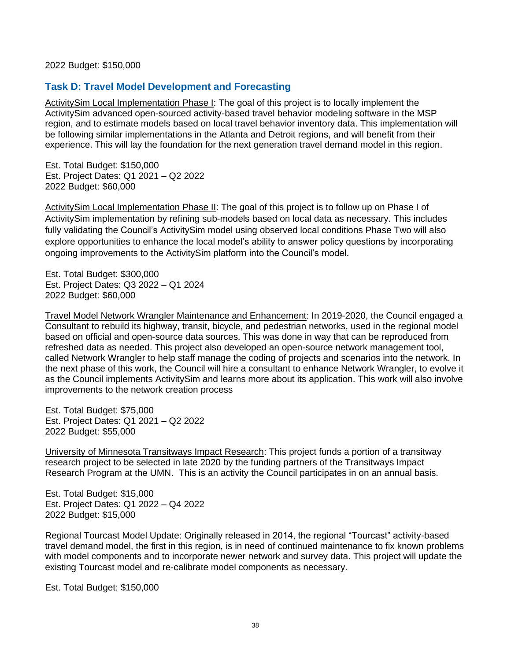2022 Budget: \$150,000

#### **Task D: Travel Model Development and Forecasting**

ActivitySim Local Implementation Phase I: The goal of this project is to locally implement the ActivitySim advanced open-sourced activity-based travel behavior modeling software in the MSP region, and to estimate models based on local travel behavior inventory data. This implementation will be following similar implementations in the Atlanta and Detroit regions, and will benefit from their experience. This will lay the foundation for the next generation travel demand model in this region.

Est. Total Budget: \$150,000 Est. Project Dates: Q1 2021 – Q2 2022 2022 Budget: \$60,000

ActivitySim Local Implementation Phase II: The goal of this project is to follow up on Phase I of ActivitySim implementation by refining sub-models based on local data as necessary. This includes fully validating the Council's ActivitySim model using observed local conditions Phase Two will also explore opportunities to enhance the local model's ability to answer policy questions by incorporating ongoing improvements to the ActivitySim platform into the Council's model.

Est. Total Budget: \$300,000 Est. Project Dates: Q3 2022 – Q1 2024 2022 Budget: \$60,000

Travel Model Network Wrangler Maintenance and Enhancement: In 2019-2020, the Council engaged a Consultant to rebuild its highway, transit, bicycle, and pedestrian networks, used in the regional model based on official and open-source data sources. This was done in way that can be reproduced from refreshed data as needed. This project also developed an open-source network management tool, called Network Wrangler to help staff manage the coding of projects and scenarios into the network. In the next phase of this work, the Council will hire a consultant to enhance Network Wrangler, to evolve it as the Council implements ActivitySim and learns more about its application. This work will also involve improvements to the network creation process

Est. Total Budget: \$75,000 Est. Project Dates: Q1 2021 – Q2 2022 2022 Budget: \$55,000

University of Minnesota Transitways Impact Research: This project funds a portion of a transitway research project to be selected in late 2020 by the funding partners of the Transitways Impact Research Program at the UMN. This is an activity the Council participates in on an annual basis.

Est. Total Budget: \$15,000 Est. Project Dates: Q1 2022 – Q4 2022 2022 Budget: \$15,000

Regional Tourcast Model Update: Originally released in 2014, the regional "Tourcast" activity-based travel demand model, the first in this region, is in need of continued maintenance to fix known problems with model components and to incorporate newer network and survey data. This project will update the existing Tourcast model and re-calibrate model components as necessary.

Est. Total Budget: \$150,000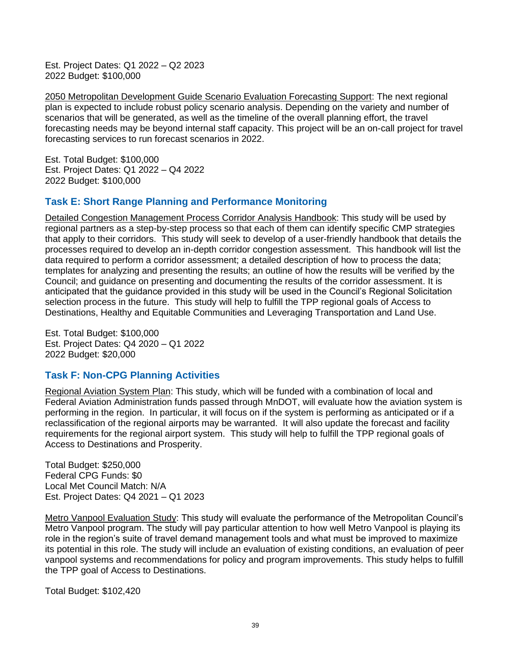Est. Project Dates: Q1 2022 – Q2 2023 2022 Budget: \$100,000

2050 Metropolitan Development Guide Scenario Evaluation Forecasting Support: The next regional plan is expected to include robust policy scenario analysis. Depending on the variety and number of scenarios that will be generated, as well as the timeline of the overall planning effort, the travel forecasting needs may be beyond internal staff capacity. This project will be an on-call project for travel forecasting services to run forecast scenarios in 2022.

Est. Total Budget: \$100,000 Est. Project Dates: Q1 2022 – Q4 2022 2022 Budget: \$100,000

# **Task E: Short Range Planning and Performance Monitoring**

Detailed Congestion Management Process Corridor Analysis Handbook: This study will be used by regional partners as a step-by-step process so that each of them can identify specific CMP strategies that apply to their corridors. This study will seek to develop of a user-friendly handbook that details the processes required to develop an in-depth corridor congestion assessment. This handbook will list the data required to perform a corridor assessment; a detailed description of how to process the data; templates for analyzing and presenting the results; an outline of how the results will be verified by the Council; and guidance on presenting and documenting the results of the corridor assessment. It is anticipated that the guidance provided in this study will be used in the Council's Regional Solicitation selection process in the future. This study will help to fulfill the TPP regional goals of Access to Destinations, Healthy and Equitable Communities and Leveraging Transportation and Land Use.

Est. Total Budget: \$100,000 Est. Project Dates: Q4 2020 – Q1 2022 2022 Budget: \$20,000

# **Task F: Non-CPG Planning Activities**

Regional Aviation System Plan: This study, which will be funded with a combination of local and Federal Aviation Administration funds passed through MnDOT, will evaluate how the aviation system is performing in the region. In particular, it will focus on if the system is performing as anticipated or if a reclassification of the regional airports may be warranted. It will also update the forecast and facility requirements for the regional airport system. This study will help to fulfill the TPP regional goals of Access to Destinations and Prosperity.

Total Budget: \$250,000 Federal CPG Funds: \$0 Local Met Council Match: N/A Est. Project Dates: Q4 2021 – Q1 2023

Metro Vanpool Evaluation Study: This study will evaluate the performance of the Metropolitan Council's Metro Vanpool program. The study will pay particular attention to how well Metro Vanpool is playing its role in the region's suite of travel demand management tools and what must be improved to maximize its potential in this role. The study will include an evaluation of existing conditions, an evaluation of peer vanpool systems and recommendations for policy and program improvements. This study helps to fulfill the TPP goal of Access to Destinations.

Total Budget: \$102,420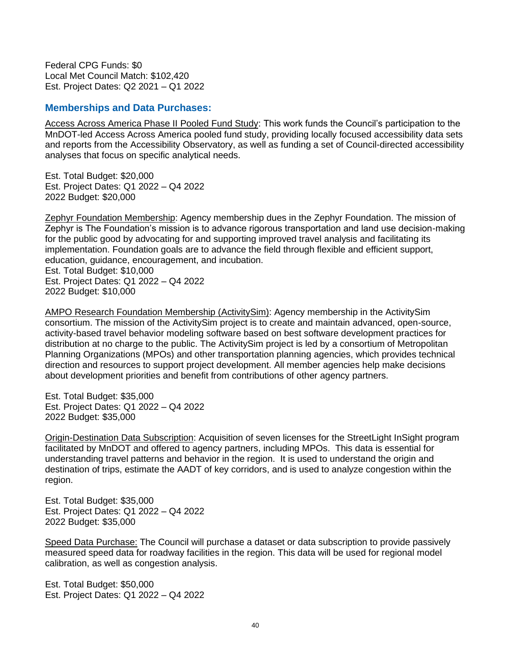Federal CPG Funds: \$0 Local Met Council Match: \$102,420 Est. Project Dates: Q2 2021 – Q1 2022

#### **Memberships and Data Purchases:**

Access Across America Phase II Pooled Fund Study: This work funds the Council's participation to the MnDOT-led Access Across America pooled fund study, providing locally focused accessibility data sets and reports from the Accessibility Observatory, as well as funding a set of Council-directed accessibility analyses that focus on specific analytical needs.

Est. Total Budget: \$20,000 Est. Project Dates: Q1 2022 – Q4 2022 2022 Budget: \$20,000

Zephyr Foundation Membership: Agency membership dues in the Zephyr Foundation. The mission of Zephyr is The Foundation's mission is to advance rigorous transportation and land use decision-making for the public good by advocating for and supporting improved travel analysis and facilitating its implementation. Foundation goals are to advance the field through flexible and efficient support, education, guidance, encouragement, and incubation. Est. Total Budget: \$10,000 Est. Project Dates: Q1 2022 – Q4 2022 2022 Budget: \$10,000

AMPO Research Foundation Membership (ActivitySim): Agency membership in the ActivitySim consortium. The mission of the ActivitySim project is to create and maintain advanced, open-source, activity-based travel behavior modeling software based on best software development practices for distribution at no charge to the public. The ActivitySim project is led by a consortium of Metropolitan Planning Organizations (MPOs) and other transportation planning agencies, which provides technical direction and resources to support project development. All member agencies help make decisions about development priorities and benefit from contributions of other agency partners.

Est. Total Budget: \$35,000 Est. Project Dates: Q1 2022 – Q4 2022 2022 Budget: \$35,000

Origin-Destination Data Subscription: Acquisition of seven licenses for the StreetLight InSight program facilitated by MnDOT and offered to agency partners, including MPOs. This data is essential for understanding travel patterns and behavior in the region. It is used to understand the origin and destination of trips, estimate the AADT of key corridors, and is used to analyze congestion within the region.

Est. Total Budget: \$35,000 Est. Project Dates: Q1 2022 – Q4 2022 2022 Budget: \$35,000

Speed Data Purchase: The Council will purchase a dataset or data subscription to provide passively measured speed data for roadway facilities in the region. This data will be used for regional model calibration, as well as congestion analysis.

Est. Total Budget: \$50,000 Est. Project Dates: Q1 2022 – Q4 2022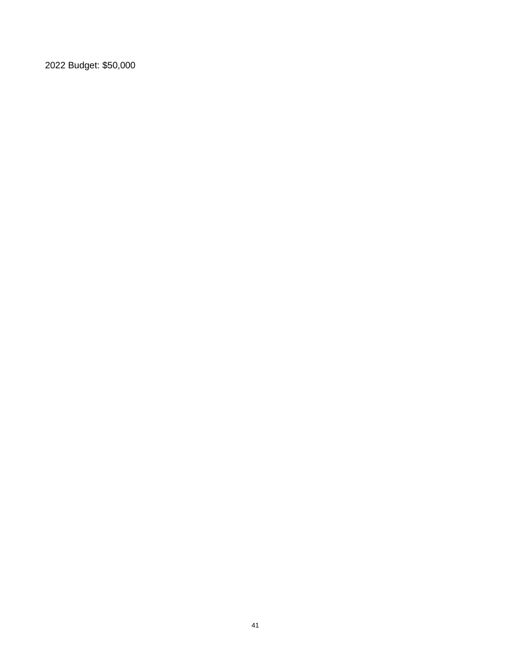2022 Budget: \$50,000